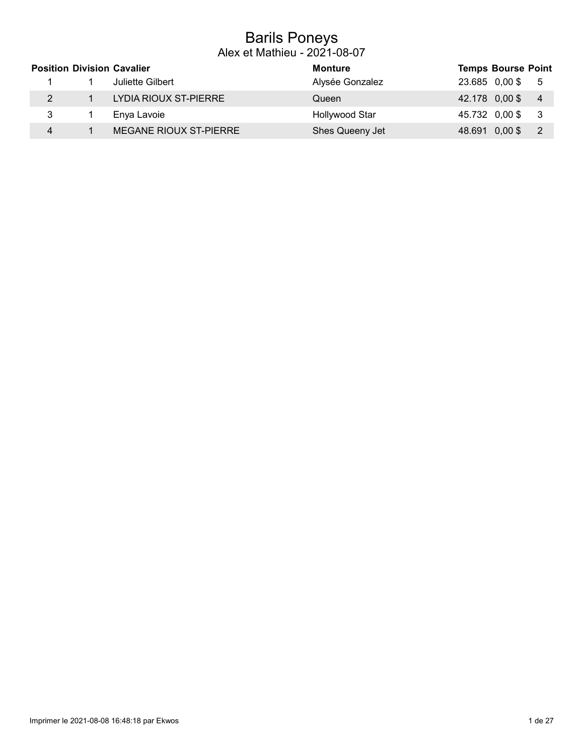### Barils Poneys Alex et Mathieu - 2021-08-07

|   | <b>Position Division Cavalier</b> | <b>Monture</b>  |                | <b>Temps Bourse Point</b> |                |
|---|-----------------------------------|-----------------|----------------|---------------------------|----------------|
|   | Juliette Gilbert                  | Alysée Gonzalez | 23.685 0,00 \$ |                           | - 5            |
|   | LYDIA RIOUX ST-PIERRE             | Queen           | 42.178 0,00 \$ |                           | $\overline{4}$ |
| 3 | Enya Lavoie                       | Hollywood Star  | 45.732 0,00\$  |                           | - 3            |
| 4 | MEGANE RIOUX ST-PIERRE            | Shes Queeny Jet | 48.691 0,00\$  |                           |                |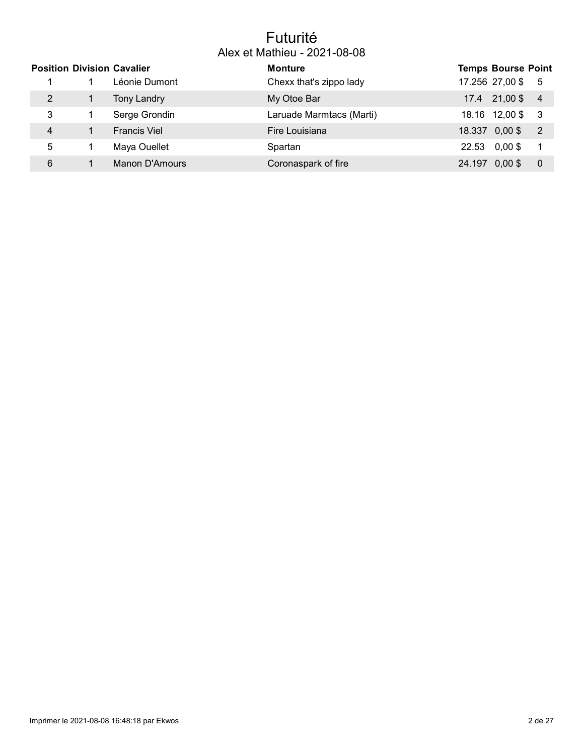### Futurité Alex et Mathieu - 2021-08-08

|   | <b>Position Division Cavalier</b> | <b>Monture</b>           |       | <b>Temps Bourse Point</b> |                |
|---|-----------------------------------|--------------------------|-------|---------------------------|----------------|
|   | Léonie Dumont                     | Chexx that's zippo lady  |       | 17.256 27,00 \$ 5         |                |
|   | <b>Tony Landry</b>                | My Otoe Bar              |       | 17.4 21,00 \$ 4           |                |
| 3 | Serge Grondin                     | Laruade Marmtacs (Marti) |       | 18.16 12,00\$ 3           |                |
| 4 | <b>Francis Viel</b>               | Fire Louisiana           |       | 18.337 0,00 \$            | $\overline{2}$ |
| 5 | Maya Ouellet                      | Spartan                  | 22.53 | $0,00$ \$                 |                |
| 6 | Manon D'Amours                    | Coronaspark of fire      |       | 24.197 0,00 \$            | 0              |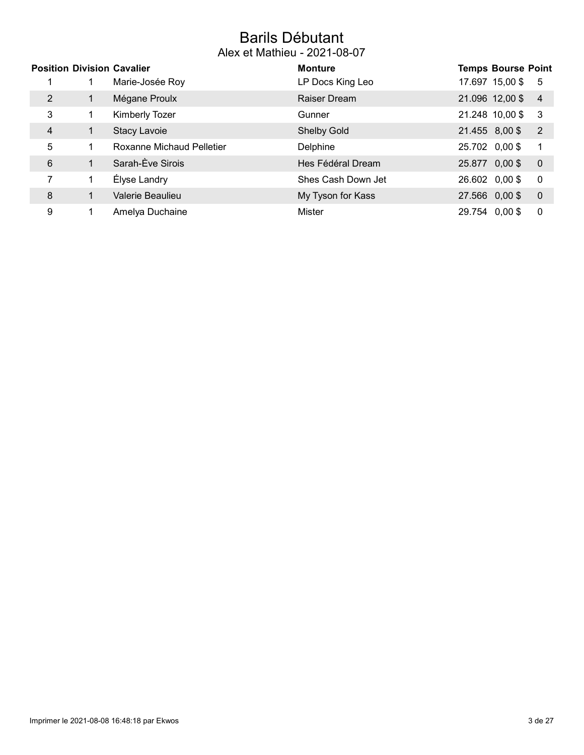### Barils Débutant Alex et Mathieu - 2021-08-07

|                | <b>Position Division Cavalier</b> |                                  | <b>Monture</b>     |                | <b>Temps Bourse Point</b> |                         |
|----------------|-----------------------------------|----------------------------------|--------------------|----------------|---------------------------|-------------------------|
|                |                                   | Marie-Josée Roy                  | LP Docs King Leo   |                | 17.697 15,00 \$           | -5                      |
| 2              |                                   | Mégane Proulx                    | Raiser Dream       |                | 21.096 12,00 \$           | $\overline{4}$          |
| 3              | 1                                 | <b>Kimberly Tozer</b>            | Gunner             |                | 21.248 10,00 \$           | -3                      |
| $\overline{4}$ | $\mathbf{1}$                      | <b>Stacy Lavoie</b>              | <b>Shelby Gold</b> |                | 21.455 8,00 \$            | $\overline{2}$          |
| 5              |                                   | <b>Roxanne Michaud Pelletier</b> | Delphine           | 25.702 0,00 \$ |                           | $\overline{\mathbf{1}}$ |
| 6              |                                   | Sarah-Ève Sirois                 | Hes Fédéral Dream  | 25.877 0,00 \$ |                           | $\overline{0}$          |
| 7              | 1                                 | Élyse Landry                     | Shes Cash Down Jet | 26.602 0,00 \$ |                           | $\overline{0}$          |
| 8              | 1                                 | Valerie Beaulieu                 | My Tyson for Kass  | 27.566 0,00 \$ |                           | $\overline{0}$          |
| 9              |                                   | Amelya Duchaine                  | Mister             | 29.754 0.00 \$ |                           | 0                       |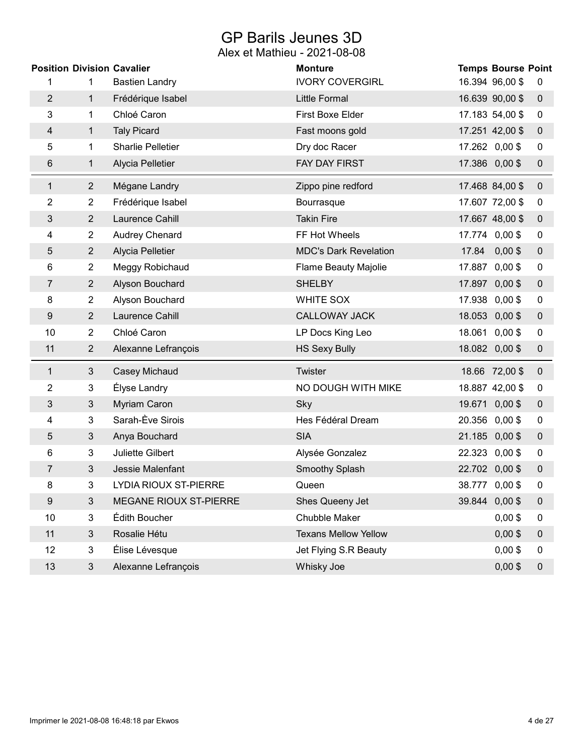## GP Barils Jeunes 3D

|                |                | <b>Position Division Cavalier</b> | <b>Monture</b>               | <b>Temps Bourse Point</b> |                  |
|----------------|----------------|-----------------------------------|------------------------------|---------------------------|------------------|
| 1              | 1              | <b>Bastien Landry</b>             | <b>IVORY COVERGIRL</b>       | 16.394 96,00 \$           | 0                |
| $\overline{2}$ | $\mathbf{1}$   | Frédérique Isabel                 | Little Formal                | 16.639 90,00 \$           | $\mathbf 0$      |
| 3              | 1              | Chloé Caron                       | First Boxe Elder             | 17.183 54,00 \$           | 0                |
| 4              | $\mathbf{1}$   | <b>Taly Picard</b>                | Fast moons gold              | 17.251 42,00 \$           | $\mathbf 0$      |
| 5              | 1              | <b>Sharlie Pelletier</b>          | Dry doc Racer                | 17.262 0,00 \$            | 0                |
| 6              | 1              | Alycia Pelletier                  | FAY DAY FIRST                | 17.386 0,00 \$            | $\pmb{0}$        |
| $\mathbf{1}$   | $\overline{2}$ | Mégane Landry                     | Zippo pine redford           | 17.468 84,00 \$           | $\mathbf 0$      |
| 2              | $\overline{2}$ | Frédérique Isabel                 | Bourrasque                   | 17.607 72,00 \$           | $\boldsymbol{0}$ |
| 3              | $\overline{2}$ | Laurence Cahill                   | <b>Takin Fire</b>            | 17.667 48,00 \$           | $\overline{0}$   |
| 4              | $\overline{2}$ | Audrey Chenard                    | FF Hot Wheels                | 17.774 0,00 \$            | 0                |
| 5              | $\overline{2}$ | Alycia Pelletier                  | <b>MDC's Dark Revelation</b> | 17.84 0,00 \$             | $\pmb{0}$        |
| 6              | $\overline{2}$ | Meggy Robichaud                   | <b>Flame Beauty Majolie</b>  | 17.887 0,00 \$            | $\boldsymbol{0}$ |
| 7              | $\overline{2}$ | Alyson Bouchard                   | <b>SHELBY</b>                | 17.897 0,00 \$            | $\pmb{0}$        |
| 8              | $\overline{2}$ | Alyson Bouchard                   | <b>WHITE SOX</b>             | 17.938 0,00 \$            | 0                |
| 9              | $\overline{2}$ | Laurence Cahill                   | <b>CALLOWAY JACK</b>         | 18.053 0,00 \$            | $\boldsymbol{0}$ |
| 10             | $\overline{2}$ | Chloé Caron                       | LP Docs King Leo             | 18.061 0,00 \$            | 0                |
| 11             | $\overline{2}$ | Alexanne Lefrançois               | <b>HS Sexy Bully</b>         | 18.082 0,00 \$            | $\pmb{0}$        |
| $\mathbf{1}$   | 3              | Casey Michaud                     | Twister                      | 18.66 72,00 \$            | $\mathbf 0$      |
| 2              | 3              | Élyse Landry                      | NO DOUGH WITH MIKE           | 18.887 42,00 \$           | $\pmb{0}$        |
| 3              | $\mathfrak{Z}$ | Myriam Caron                      | Sky                          | 19.671 0,00 \$            | $\pmb{0}$        |
| 4              | 3              | Sarah-Ève Sirois                  | Hes Fédéral Dream            | 20.356 0,00 \$            | 0                |
| 5              | $\mathfrak{Z}$ | Anya Bouchard                     | <b>SIA</b>                   | 21.185 0,00 \$            | $\pmb{0}$        |
| 6              | 3              | Juliette Gilbert                  | Alysée Gonzalez              | 22.323 0,00 \$            | $\pmb{0}$        |
| 7              | 3              | Jessie Malenfant                  | Smoothy Splash               | 22.702 0,00 \$            | $\pmb{0}$        |
| 8              | 3              | LYDIA RIOUX ST-PIERRE             | Queen                        | 38.777 0,00 \$            | 0                |
| 9              | 3              | MEGANE RIOUX ST-PIERRE            | Shes Queeny Jet              | 39.844 0,00 \$            | $\boldsymbol{0}$ |
| 10             | 3              | Édith Boucher                     | Chubble Maker                | $0,00$ \$                 | 0                |
| 11             | $\mathfrak{S}$ | Rosalie Hétu                      | <b>Texans Mellow Yellow</b>  | $0,00$ \$                 | 0                |
| 12             | 3              | Élise Lévesque                    | Jet Flying S.R Beauty        | $0,00$ \$                 | 0                |
| 13             | $\mathbf{3}$   | Alexanne Lefrançois               | Whisky Joe                   | $0,00$ \$                 | $\pmb{0}$        |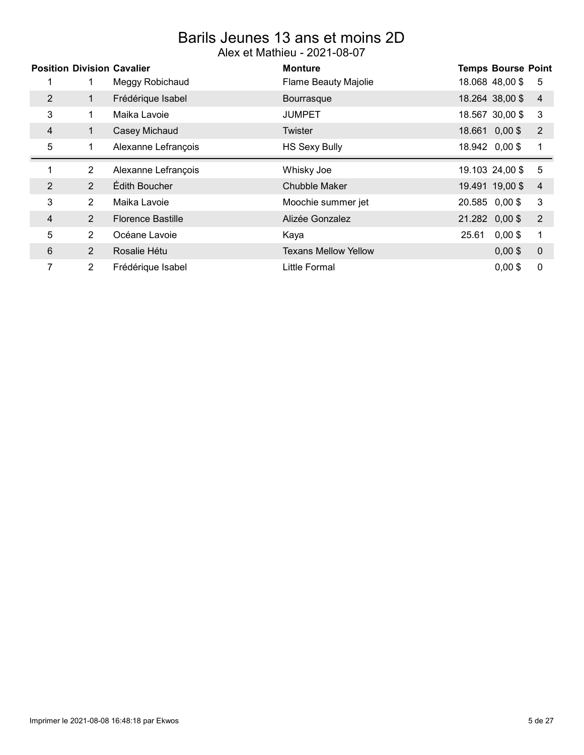### Barils Jeunes 13 ans et moins 2D Alex et Mathieu - 2021-08-07

|                |                | <b>Position Division Cavalier</b> | <b>Monture</b>              |                | <b>Temps Bourse Point</b> |                |
|----------------|----------------|-----------------------------------|-----------------------------|----------------|---------------------------|----------------|
|                |                | Meggy Robichaud                   | <b>Flame Beauty Majolie</b> |                | 18.068 48,00 \$           | -5             |
| $\overline{2}$ | 1.             | Frédérique Isabel                 | Bourrasque                  |                | 18.264 38,00 \$           | $\overline{4}$ |
| 3              | $\mathbf 1$    | Maika Lavoie                      | <b>JUMPET</b>               |                | 18.567 30,00 \$           | 3              |
| 4              | $\mathbf{1}$   | Casey Michaud                     | <b>Twister</b>              |                | 18.661 0,00\$             | $\overline{2}$ |
| 5              | 1              | Alexanne Lefrançois               | <b>HS Sexy Bully</b>        |                | 18.942 0,00\$             | 1              |
| 1              | $\overline{2}$ | Alexanne Lefrançois               | Whisky Joe                  |                | 19.103 24,00 \$           | 5              |
|                |                |                                   |                             |                |                           |                |
| 2              | $\overline{2}$ | Édith Boucher                     | Chubble Maker               |                | 19.491 19,00 \$           | 4              |
| 3              | 2              | Maika Lavoie                      | Moochie summer jet          | 20.585 0,00 \$ |                           | 3              |
| 4              | $\overline{2}$ | <b>Florence Bastille</b>          | Alizée Gonzalez             |                | 21.282 0,00 \$            | $\overline{2}$ |
| 5              | $\overline{2}$ | Océane Lavoie                     | Kaya                        | 25.61          | $0,00$ \$                 | 1              |
| 6              | $\overline{2}$ | Rosalie Hétu                      | <b>Texans Mellow Yellow</b> |                | $0,00$ \$                 | $\mathbf 0$    |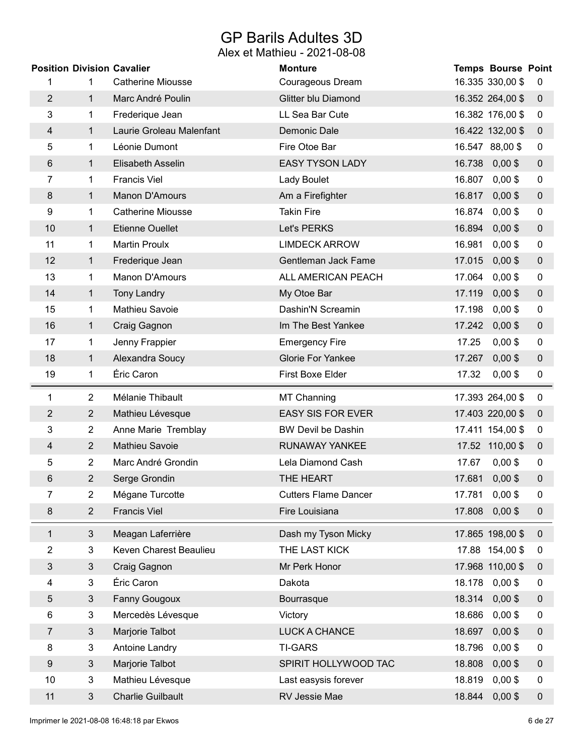## GP Barils Adultes 3D

|                |                | <b>Position Division Cavalier</b> | <b>Monture</b>              | <b>Temps Bourse Point</b> |                  |
|----------------|----------------|-----------------------------------|-----------------------------|---------------------------|------------------|
| 1              | 1              | <b>Catherine Miousse</b>          | Courageous Dream            | 16.335 330,00 \$          | 0                |
| $\overline{c}$ | $\mathbf{1}$   | Marc André Poulin                 | Glitter blu Diamond         | 16.352 264,00 \$          | $\mathbf 0$      |
| 3              | 1              | Frederique Jean                   | LL Sea Bar Cute             | 16.382 176,00 \$          | 0                |
| 4              | 1              | Laurie Groleau Malenfant          | Demonic Dale                | 16.422 132,00 \$          | $\mathbf 0$      |
| 5              | 1              | Léonie Dumont                     | Fire Otoe Bar               | 16.547 88,00 \$           | 0                |
| 6              | $\mathbf 1$    | Elisabeth Asselin                 | <b>EASY TYSON LADY</b>      | 16.738<br>$0,00$ \$       | $\mathbf 0$      |
| 7              | 1              | <b>Francis Viel</b>               | Lady Boulet                 | $0,00$ \$<br>16.807       | 0                |
| 8              | $\mathbf{1}$   | Manon D'Amours                    | Am a Firefighter            | $0,00$ \$<br>16.817       | $\mathbf 0$      |
| 9              | 1              | <b>Catherine Miousse</b>          | <b>Takin Fire</b>           | 16.874<br>$0,00$ \$       | $\mathbf 0$      |
| 10             | 1              | <b>Etienne Ouellet</b>            | Let's PERKS                 | 16.894<br>$0,00$ \$       | $\pmb{0}$        |
| 11             | 1              | <b>Martin Proulx</b>              | <b>LIMDECK ARROW</b>        | $0,00$ \$<br>16.981       | 0                |
| 12             | $\mathbf{1}$   | Frederique Jean                   | Gentleman Jack Fame         | $0,00$ \$<br>17.015       | $\mathbf 0$      |
| 13             | 1              | Manon D'Amours                    | ALL AMERICAN PEACH          | $0,00$ \$<br>17.064       | $\mathbf 0$      |
| 14             | $\mathbf{1}$   | <b>Tony Landry</b>                | My Otoe Bar                 | 17.119<br>$0,00$ \$       | $\mathbf 0$      |
| 15             | 1              | Mathieu Savoie                    | Dashin'N Screamin           | $0,00$ \$<br>17.198       | 0                |
| 16             | $\mathbf{1}$   | Craig Gagnon                      | Im The Best Yankee          | $0,00$ \$<br>17.242       | $\pmb{0}$        |
| 17             | 1              | Jenny Frappier                    | <b>Emergency Fire</b>       | $0,00$ \$<br>17.25        | 0                |
| 18             | $\mathbf{1}$   | Alexandra Soucy                   | <b>Glorie For Yankee</b>    | $0,00$ \$<br>17.267       | $\pmb{0}$        |
| 19             | 1              | Éric Caron                        | First Boxe Elder            | 17.32<br>$0,00$ \$        | $\pmb{0}$        |
|                |                |                                   |                             |                           |                  |
| 1              | $\overline{2}$ | Mélanie Thibault                  | <b>MT Channing</b>          | 17.393 264,00 \$          | 0                |
| $\overline{c}$ | $\overline{2}$ | Mathieu Lévesque                  | <b>EASY SIS FOR EVER</b>    | 17.403 220,00 \$          | $\pmb{0}$        |
| 3              | $\overline{2}$ | Anne Marie Tremblay               | <b>BW Devil be Dashin</b>   | 17.411 154,00 \$          | $\pmb{0}$        |
| 4              | $\overline{2}$ | Mathieu Savoie                    | <b>RUNAWAY YANKEE</b>       | 17.52 110,00 \$           | $\boldsymbol{0}$ |
| 5              | $\overline{2}$ | Marc André Grondin                | Lela Diamond Cash           | $0,00$ \$<br>17.67        | 0                |
| 6              | $\overline{2}$ | Serge Grondin                     | THE HEART                   | $0,00$ \$<br>17.681       | $\pmb{0}$        |
| 7              | $\overline{2}$ | Mégane Turcotte                   | <b>Cutters Flame Dancer</b> | $0,00$ \$<br>17.781       | $\mathbf 0$      |
| 8              | $\overline{2}$ | <b>Francis Viel</b>               | Fire Louisiana              | 17.808<br>$0,00$ \$       | $\pmb{0}$        |
| $\mathbf{1}$   | $\mathfrak{S}$ | Meagan Laferrière                 | Dash my Tyson Micky         | 17.865 198,00 \$          | $\pmb{0}$        |
| 2              | 3              | Keven Charest Beaulieu            | THE LAST KICK               | 17.88 154,00 \$           | $\mathbf 0$      |
| 3              | $\mathfrak{Z}$ | Craig Gagnon                      | Mr Perk Honor               | 17.968 110,00 \$          | $\mathbf 0$      |
| 4              | 3              | Éric Caron                        | Dakota                      | 18.178<br>$0,00$ \$       | 0                |
| 5              | $\mathfrak{Z}$ | Fanny Gougoux                     | Bourrasque                  | $0,00$ \$<br>18.314       | $\boldsymbol{0}$ |
| 6              | 3              | Mercedès Lévesque                 | Victory                     | $0,00$ \$<br>18.686       | 0                |
| $\overline{7}$ | $\mathfrak{S}$ | Marjorie Talbot                   | LUCK A CHANCE               | 18.697<br>$0,00$ \$       | $\mathbf 0$      |
| 8              | 3              | Antoine Landry                    | <b>TI-GARS</b>              | $0,00$ \$<br>18.796       | $\pmb{0}$        |
| 9              | $\mathfrak{S}$ | Marjorie Talbot                   | SPIRIT HOLLYWOOD TAC        | 18.808<br>$0,00$ \$       | $\mathbf 0$      |
| 10             | 3              | Mathieu Lévesque                  | Last easysis forever        | $0,00$ \$<br>18.819       | 0                |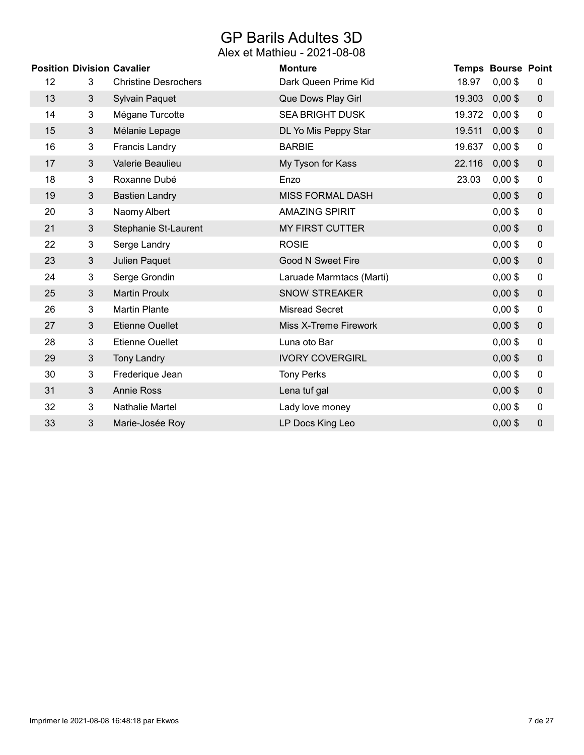## GP Barils Adultes 3D

|    |                | <b>Position Division Cavalier</b> | <b>Monture</b>           |        | <b>Temps Bourse Point</b> |           |
|----|----------------|-----------------------------------|--------------------------|--------|---------------------------|-----------|
| 12 | 3              | <b>Christine Desrochers</b>       | Dark Queen Prime Kid     | 18.97  | $0,00$ \$                 | 0         |
| 13 | 3              | <b>Sylvain Paquet</b>             | Que Dows Play Girl       | 19.303 | $0,00$ \$                 | $\pmb{0}$ |
| 14 | 3              | Mégane Turcotte                   | <b>SEA BRIGHT DUSK</b>   | 19.372 | $0,00$ \$                 | 0         |
| 15 | $\mathbf{3}$   | Mélanie Lepage                    | DL Yo Mis Peppy Star     | 19.511 | $0,00$ \$                 | $\pmb{0}$ |
| 16 | 3              | <b>Francis Landry</b>             | <b>BARBIE</b>            | 19.637 | $0,00$ \$                 | 0         |
| 17 | 3              | Valerie Beaulieu                  | My Tyson for Kass        | 22.116 | $0,00$ \$                 | $\pmb{0}$ |
| 18 | 3              | Roxanne Dubé                      | Enzo                     | 23.03  | $0,00$ \$                 | 0         |
| 19 | 3              | <b>Bastien Landry</b>             | <b>MISS FORMAL DASH</b>  |        | $0,00$ \$                 | $\pmb{0}$ |
| 20 | 3              | Naomy Albert                      | <b>AMAZING SPIRIT</b>    |        | $0,00$ \$                 | $\pmb{0}$ |
| 21 | 3              | Stephanie St-Laurent              | <b>MY FIRST CUTTER</b>   |        | $0,00$ \$                 | $\pmb{0}$ |
| 22 | 3              | Serge Landry                      | <b>ROSIE</b>             |        | $0,00$ \$                 | $\pmb{0}$ |
| 23 | 3              | Julien Paquet                     | <b>Good N Sweet Fire</b> |        | $0,00$ \$                 | $\pmb{0}$ |
| 24 | 3              | Serge Grondin                     | Laruade Marmtacs (Marti) |        | $0,00$ \$                 | $\pmb{0}$ |
| 25 | 3              | <b>Martin Proulx</b>              | <b>SNOW STREAKER</b>     |        | $0,00$ \$                 | $\pmb{0}$ |
| 26 | 3              | <b>Martin Plante</b>              | <b>Misread Secret</b>    |        | $0,00$ \$                 | $\pmb{0}$ |
| 27 | 3 <sup>1</sup> | <b>Etienne Ouellet</b>            | Miss X-Treme Firework    |        | $0,00$ \$                 | $\pmb{0}$ |
| 28 | 3              | <b>Etienne Ouellet</b>            | Luna oto Bar             |        | $0,00$ \$                 | $\pmb{0}$ |
| 29 | 3              | <b>Tony Landry</b>                | <b>IVORY COVERGIRL</b>   |        | $0,00$ \$                 | $\pmb{0}$ |
| 30 | 3              | Frederique Jean                   | <b>Tony Perks</b>        |        | $0,00$ \$                 | 0         |
| 31 | 3              | <b>Annie Ross</b>                 | Lena tuf gal             |        | $0,00$ \$                 | $\pmb{0}$ |
| 32 | 3              | Nathalie Martel                   | Lady love money          |        | $0,00$ \$                 | $\pmb{0}$ |
| 33 | 3              | Marie-Josée Roy                   | LP Docs King Leo         |        | $0,00$ \$                 | $\pmb{0}$ |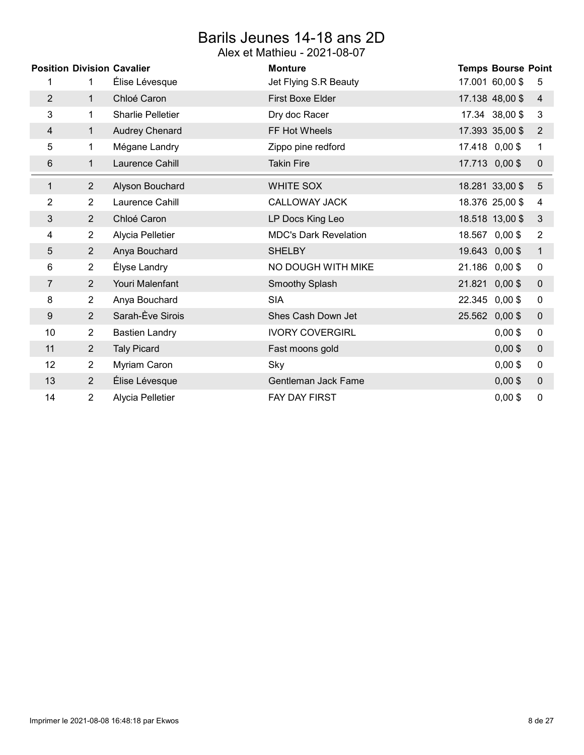## Barils Jeunes 14-18 ans 2D

|                |                | <b>Position Division Cavalier</b> | <b>Monture</b>               | <b>Temps Bourse Point</b> |                |
|----------------|----------------|-----------------------------------|------------------------------|---------------------------|----------------|
| 1              |                | Élise Lévesque                    | Jet Flying S.R Beauty        | 17.001 60,00 \$           | 5              |
| $\overline{2}$ | $\mathbf{1}$   | Chloé Caron                       | <b>First Boxe Elder</b>      | 17.138 48,00 \$           | $\overline{4}$ |
| 3              | 1              | <b>Sharlie Pelletier</b>          | Dry doc Racer                | 17.34 38,00 \$            | 3              |
| 4              | 1              | <b>Audrey Chenard</b>             | FF Hot Wheels                | 17.393 35,00 \$           | $\overline{2}$ |
| 5              | 1              | Mégane Landry                     | Zippo pine redford           | 17.418 0,00 \$            | $\mathbf{1}$   |
| 6              | 1              | Laurence Cahill                   | <b>Takin Fire</b>            | 17.713 0,00 \$            | $\pmb{0}$      |
| 1              | $\overline{2}$ | Alyson Bouchard                   | <b>WHITE SOX</b>             | 18.281 33,00 \$           | $\overline{5}$ |
| $\overline{2}$ | $\overline{2}$ | Laurence Cahill                   | <b>CALLOWAY JACK</b>         | 18.376 25,00 \$           | 4              |
| 3              | $\overline{2}$ | Chloé Caron                       | LP Docs King Leo             | 18.518 13,00 \$           | $\sqrt{3}$     |
| 4              | 2              | Alycia Pelletier                  | <b>MDC's Dark Revelation</b> | 18.567 0,00 \$            | $\overline{2}$ |
| 5              | $\overline{2}$ | Anya Bouchard                     | <b>SHELBY</b>                | 19.643 0,00 \$            | $\mathbf{1}$   |
| 6              | $\overline{2}$ | Élyse Landry                      | NO DOUGH WITH MIKE           | 21.186 0,00 \$            | 0              |
| $\overline{7}$ | $\overline{2}$ | Youri Malenfant                   | Smoothy Splash               | 21.821 0,00 \$            | $\pmb{0}$      |
| 8              | $\overline{2}$ | Anya Bouchard                     | <b>SIA</b>                   | 22.345 0,00 \$            | 0              |
| 9              | $\overline{2}$ | Sarah-Ève Sirois                  | Shes Cash Down Jet           | 25.562 0,00 \$            | $\pmb{0}$      |
| 10             | $\overline{2}$ | <b>Bastien Landry</b>             | <b>IVORY COVERGIRL</b>       | $0,00$ \$                 | 0              |
| 11             | $\overline{2}$ | <b>Taly Picard</b>                | Fast moons gold              | $0,00$ \$                 | $\pmb{0}$      |
| 12             | $\overline{2}$ | Myriam Caron                      | Sky                          | $0,00$ \$                 | $\pmb{0}$      |
| 13             | $\overline{2}$ | Élise Lévesque                    | Gentleman Jack Fame          | $0,00$ \$                 | $\pmb{0}$      |
| 14             | 2              | Alycia Pelletier                  | <b>FAY DAY FIRST</b>         | $0,00$ \$                 | 0              |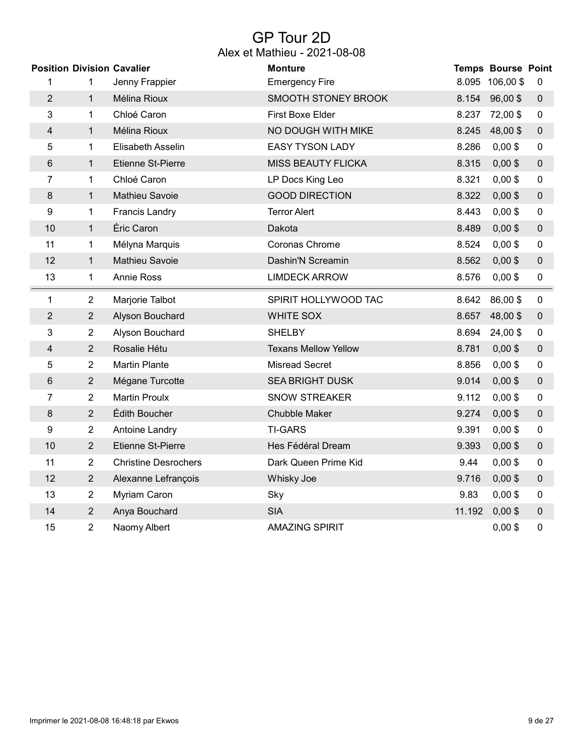### GP Tour 2D Alex et Mathieu - 2021-08-08

|                |                | <b>Position Division Cavalier</b> | <b>Monture</b>              |        | <b>Temps Bourse Point</b> |             |
|----------------|----------------|-----------------------------------|-----------------------------|--------|---------------------------|-------------|
| 1              | 1              | Jenny Frappier                    | <b>Emergency Fire</b>       |        | 8.095 106,00 \$           | 0           |
| $\overline{2}$ | $\mathbf{1}$   | Mélina Rioux                      | SMOOTH STONEY BROOK         | 8.154  | $96,00$ \$                | $\pmb{0}$   |
| 3              | 1              | Chloé Caron                       | <b>First Boxe Elder</b>     |        | 8.237 72,00 \$            | $\pmb{0}$   |
| 4              | $\mathbf{1}$   | Mélina Rioux                      | NO DOUGH WITH MIKE          | 8.245  | 48,00\$                   | $\pmb{0}$   |
| 5              | 1              | Elisabeth Asselin                 | <b>EASY TYSON LADY</b>      | 8.286  | $0,00$ \$                 | $\pmb{0}$   |
| 6              | $\mathbf{1}$   | Etienne St-Pierre                 | <b>MISS BEAUTY FLICKA</b>   | 8.315  | $0,00$ \$                 | $\pmb{0}$   |
| 7              | 1              | Chloé Caron                       | LP Docs King Leo            | 8.321  | $0,00$ \$                 | $\pmb{0}$   |
| 8              | $\mathbf{1}$   | Mathieu Savoie                    | <b>GOOD DIRECTION</b>       | 8.322  | $0,00$ \$                 | $\mathbf 0$ |
| 9              | 1              | <b>Francis Landry</b>             | <b>Terror Alert</b>         | 8.443  | $0,00$ \$                 | $\pmb{0}$   |
| 10             | $\mathbf{1}$   | Éric Caron                        | Dakota                      | 8.489  | $0,00$ \$                 | $\mathbf 0$ |
| 11             | 1              | Mélyna Marquis                    | Coronas Chrome              | 8.524  | $0,00$ \$                 | $\pmb{0}$   |
| 12             | $\mathbf{1}$   | <b>Mathieu Savoie</b>             | Dashin'N Screamin           | 8.562  | $0,00$ \$                 | $\pmb{0}$   |
| 13             | 1              | <b>Annie Ross</b>                 | <b>LIMDECK ARROW</b>        | 8.576  | $0,00$ \$                 | $\pmb{0}$   |
| 1              | $\overline{2}$ | Marjorie Talbot                   | SPIRIT HOLLYWOOD TAC        | 8.642  | 86,00\$                   | $\mathbf 0$ |
| $\overline{2}$ | $\overline{2}$ | Alyson Bouchard                   | <b>WHITE SOX</b>            | 8.657  | 48,00\$                   | $\pmb{0}$   |
| 3              | $\overline{2}$ | Alyson Bouchard                   | <b>SHELBY</b>               | 8.694  | 24,00\$                   | $\pmb{0}$   |
| 4              | $\overline{2}$ | Rosalie Hétu                      | <b>Texans Mellow Yellow</b> | 8.781  | $0,00$ \$                 | $\pmb{0}$   |
| 5              | $\overline{2}$ | <b>Martin Plante</b>              | <b>Misread Secret</b>       | 8.856  | $0,00$ \$                 | $\pmb{0}$   |
| 6              | $\overline{2}$ | Mégane Turcotte                   | <b>SEA BRIGHT DUSK</b>      | 9.014  | $0,00$ \$                 | $\pmb{0}$   |
| 7              | 2              | <b>Martin Proulx</b>              | <b>SNOW STREAKER</b>        | 9.112  | $0,00$ \$                 | 0           |
| $\bf 8$        | $\overline{2}$ | Édith Boucher                     | <b>Chubble Maker</b>        | 9.274  | $0,00$ \$                 | $\pmb{0}$   |
| 9              | $\overline{2}$ | Antoine Landry                    | <b>TI-GARS</b>              | 9.391  | $0,00$ \$                 | 0           |
| 10             | $\overline{2}$ | <b>Etienne St-Pierre</b>          | Hes Fédéral Dream           | 9.393  | $0,00$ \$                 | $\pmb{0}$   |
| 11             | 2              | <b>Christine Desrochers</b>       | Dark Queen Prime Kid        | 9.44   | $0,00$ \$                 | 0           |
| 12             | $\sqrt{2}$     | Alexanne Lefrançois               | Whisky Joe                  | 9.716  | $0,00$ \$                 | $\pmb{0}$   |
| 13             | $\overline{2}$ | Myriam Caron                      | Sky                         | 9.83   | $0,00$ \$                 | 0           |
| 14             | $\sqrt{2}$     | Anya Bouchard                     | <b>SIA</b>                  | 11.192 | $0,00$ \$                 | $\pmb{0}$   |
| 15             | $\overline{2}$ | Naomy Albert                      | <b>AMAZING SPIRIT</b>       |        | $0,00$ \$                 | 0           |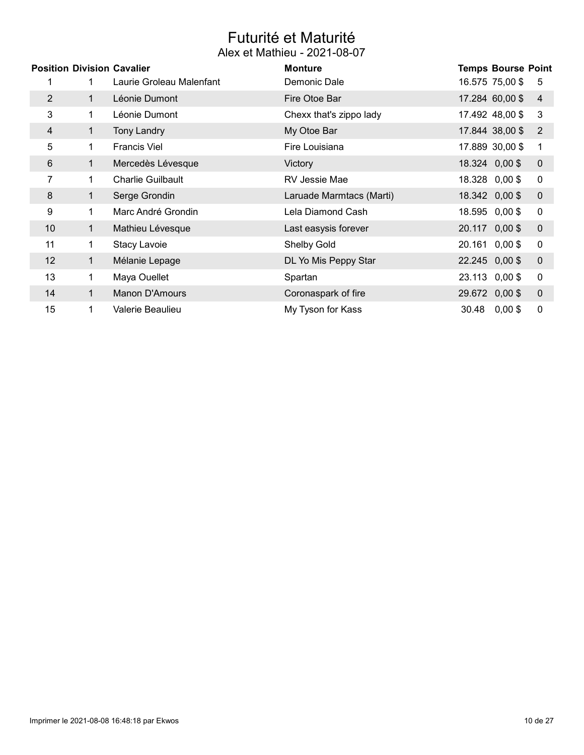# Futurité et Maturité

|                | <b>Position Division Cavalier</b> |                          | <b>Monture</b>           | <b>Temps Bourse Point</b> |                  |
|----------------|-----------------------------------|--------------------------|--------------------------|---------------------------|------------------|
|                |                                   | Laurie Groleau Malenfant | Demonic Dale             | 16.575 75,00 \$           | 5                |
| $\overline{2}$ |                                   | Léonie Dumont            | Fire Otoe Bar            | 17.284 60,00 \$           | $\overline{4}$   |
| 3              | 1                                 | Léonie Dumont            | Chexx that's zippo lady  | 17.492 48,00 \$           | 3                |
| 4              | 1                                 | <b>Tony Landry</b>       | My Otoe Bar              | 17.844 38,00 \$           | $\overline{2}$   |
| 5              | 1                                 | <b>Francis Viel</b>      | Fire Louisiana           | 17.889 30,00 \$           | 1                |
| 6              | $\mathbf 1$                       | Mercedès Lévesque        | Victory                  | 18.324 0,00 \$            | $\mathbf 0$      |
| 7              | 1                                 | <b>Charlie Guilbault</b> | RV Jessie Mae            | 18.328 0,00 \$            | $\mathbf 0$      |
| 8              | 1                                 | Serge Grondin            | Laruade Marmtacs (Marti) | 18.342 0,00 \$            | $\pmb{0}$        |
| 9              | 1.                                | Marc André Grondin       | Lela Diamond Cash        | 18.595 0,00 \$            | $\mathbf 0$      |
| 10             | 1                                 | Mathieu Lévesque         | Last easysis forever     | 20.117 0,00 \$            | $\boldsymbol{0}$ |
| 11             | 1                                 | Stacy Lavoie             | Shelby Gold              | 20.161 0,00 \$            | 0                |
| 12             | 1                                 | Mélanie Lepage           | DL Yo Mis Peppy Star     | 22.245 0,00 \$            | $\mathbf 0$      |
| 13             | 1                                 | Maya Ouellet             | Spartan                  | 23.113 0,00 \$            | 0                |
| 14             | 1                                 | Manon D'Amours           | Coronaspark of fire      | 29.672 0,00 \$            | $\mathbf 0$      |
| 15             | 1                                 | Valerie Beaulieu         | My Tyson for Kass        | 30.48 0,00 \$             | 0                |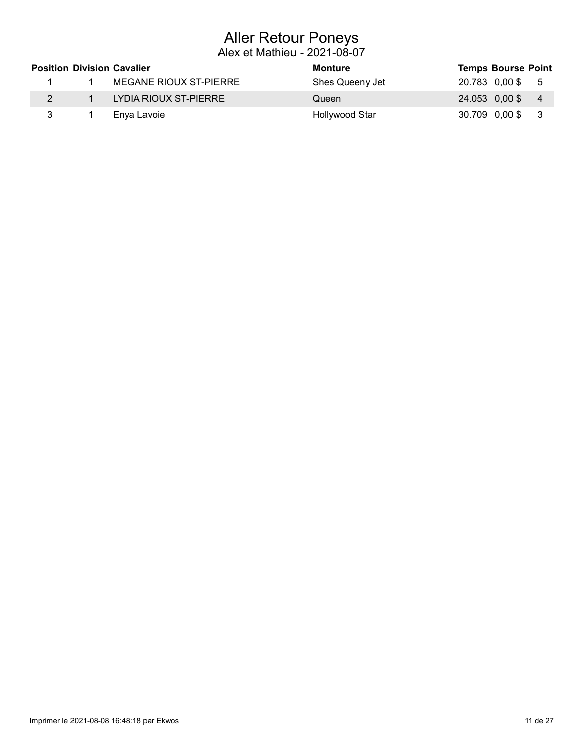## Aller Retour Poneys

|  | <b>Position Division Cavalier</b> | Monture         | <b>Temps Bourse Point</b> |                         |
|--|-----------------------------------|-----------------|---------------------------|-------------------------|
|  | MEGANE RIOUX ST-PIERRE            | Shes Queeny Jet | 20.783 0,00\$ 5           |                         |
|  | LYDIA RIOUX ST-PIERRE             | Queen           | $24.053$ 0,00\$ 4         |                         |
|  | Enya Lavoie                       | Hollywood Star  | 30.709 0,00 \$            | $\overline{\mathbf{3}}$ |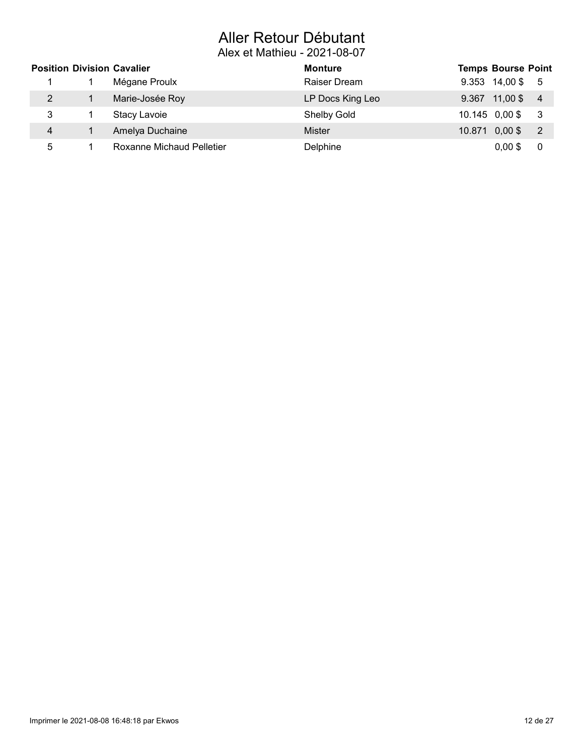# Aller Retour Débutant

|                       | <b>Position Division Cavalier</b> | <b>Monture</b>   | <b>Temps Bourse Point</b> |                |
|-----------------------|-----------------------------------|------------------|---------------------------|----------------|
|                       | Mégane Proulx                     | Raiser Dream     | 9.353 14,00 \$ 5          |                |
| $\mathbf{2}^{\prime}$ | Marie-Josée Roy                   | LP Docs King Leo | $9.367$ 11,00\$           | $\overline{4}$ |
| 3                     | Stacy Lavoie                      | Shelby Gold      | 10.145 0,00 \$            | - 3            |
| 4                     | Amelya Duchaine                   | <b>Mister</b>    | $10.871$ 0,00 \$          | - 2            |
| 5                     | <b>Roxanne Michaud Pelletier</b>  | Delphine         | $0,00$ \$                 | 0              |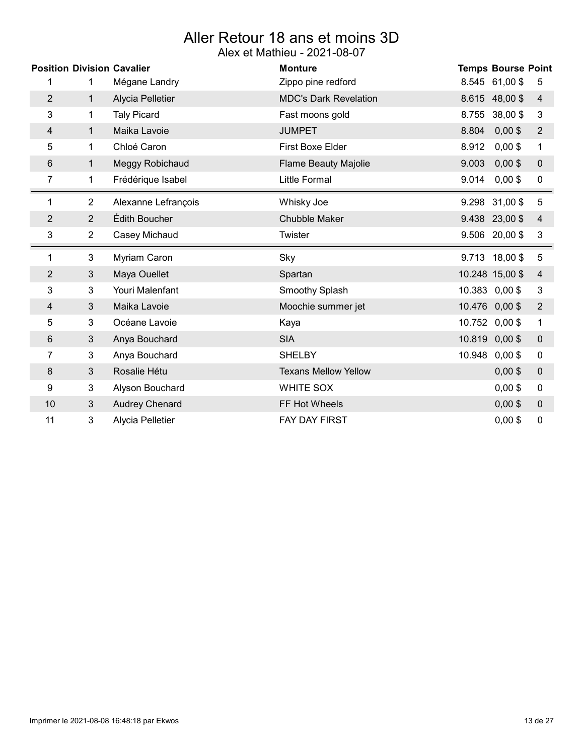# Aller Retour 18 ans et moins 3D

|                | <b>Position Division Cavalier</b> |                     | <b>Monture</b>               | <b>Temps Bourse Point</b>            |
|----------------|-----------------------------------|---------------------|------------------------------|--------------------------------------|
| 1              | 1.                                | Mégane Landry       | Zippo pine redford           | 8.545 61,00 \$<br>5                  |
| $\overline{2}$ | $\mathbf{1}$                      | Alycia Pelletier    | <b>MDC's Dark Revelation</b> | 8.615 48,00 \$<br>4                  |
| 3              | 1                                 | <b>Taly Picard</b>  | Fast moons gold              | 8.755 38,00 \$<br>3                  |
| 4              | $\mathbf{1}$                      | Maika Lavoie        | <b>JUMPET</b>                | 8.804<br>$0,00$ \$<br>$\overline{2}$ |
| 5              | 1                                 | Chloé Caron         | First Boxe Elder             | 8.912<br>$0,00$ \$<br>$\mathbf 1$    |
| 6              | 1                                 | Meggy Robichaud     | <b>Flame Beauty Majolie</b>  | 9.003<br>$0,00$ \$<br>$\mathbf 0$    |
| 7              | 1                                 | Frédérique Isabel   | <b>Little Formal</b>         | 9.014<br>$0,00$ \$<br>$\pmb{0}$      |
| 1              | 2                                 | Alexanne Lefrançois | Whisky Joe                   | 5<br>9.298 31,00 \$                  |
| $\overline{2}$ | $\overline{2}$                    | Édith Boucher       | <b>Chubble Maker</b>         | 9.438 23,00 \$<br>4                  |
| 3              | $\overline{2}$                    | Casey Michaud       | Twister                      | 9.506 20,00 \$<br>3                  |
|                |                                   |                     |                              |                                      |
| 1              | 3                                 | Myriam Caron        | Sky                          | 9.713 18,00 \$<br>5                  |
| 2              | 3                                 | Maya Ouellet        | Spartan                      | 10.248 15,00 \$<br>4                 |
| 3              | 3                                 | Youri Malenfant     | Smoothy Splash               | 10.383 0,00 \$<br>3                  |
| 4              | 3                                 | Maika Lavoie        | Moochie summer jet           | 10.476 0,00 \$<br>$\overline{2}$     |
| 5              | 3                                 | Océane Lavoie       | Kaya                         | 10.752 0,00 \$<br>$\mathbf 1$        |
| 6              | 3                                 | Anya Bouchard       | <b>SIA</b>                   | 10.819 0,00 \$<br>$\mathbf 0$        |
| 7              | 3                                 | Anya Bouchard       | <b>SHELBY</b>                | 10.948 0,00\$<br>$\pmb{0}$           |
| 8              | 3                                 | Rosalie Hétu        | <b>Texans Mellow Yellow</b>  | $0,00$ \$<br>$\pmb{0}$               |
| 9              | 3                                 | Alyson Bouchard     | <b>WHITE SOX</b>             | $\pmb{0}$<br>$0,00$ \$               |
| 10             | 3                                 | Audrey Chenard      | FF Hot Wheels                | $0,00$ \$<br>$\mathbf 0$             |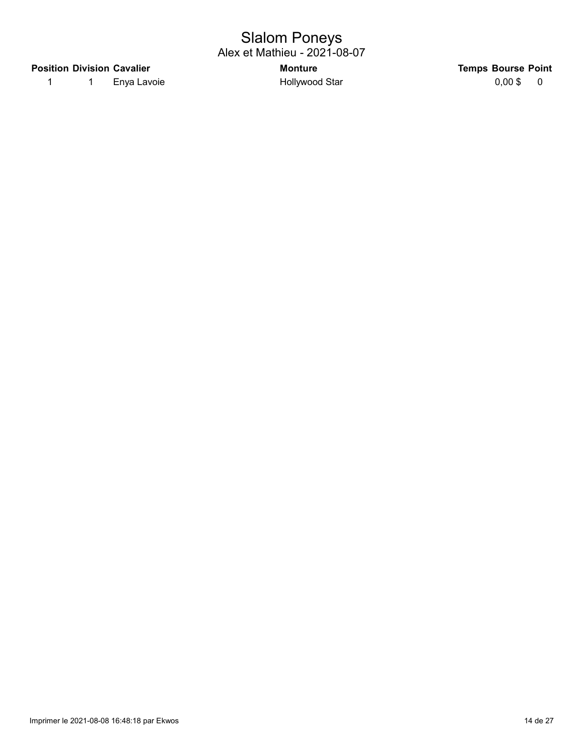## Slalom Poneys

Alex et Mathieu - 2021-08-07

#### Position Division Cavalier **Notifiable 2018** Monture Monture Temps Bourse Point

1 1 Enya Lavoie 1 Hollywood Star 1 0,00 \$ 0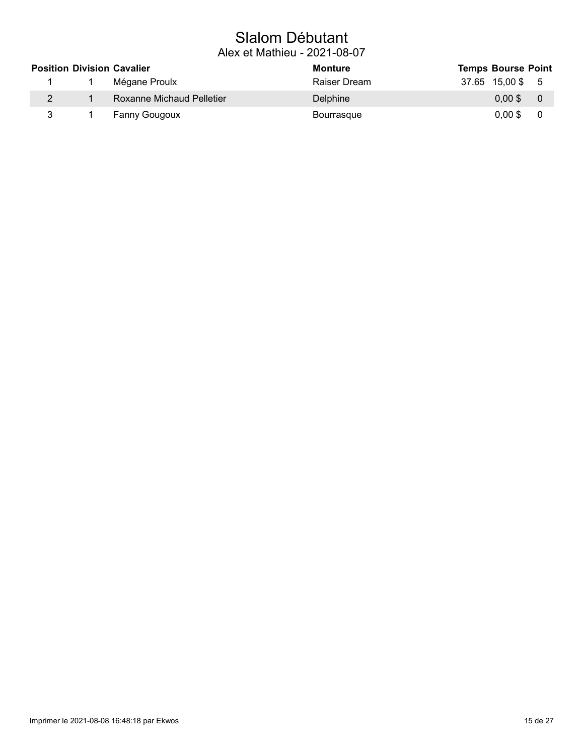## Slalom Débutant

| <b>Position Division Cavalier</b> |  |                           | Monture         | <b>Temps Bourse Point</b> |                  |     |  |
|-----------------------------------|--|---------------------------|-----------------|---------------------------|------------------|-----|--|
|                                   |  | Mégane Proulx             | Raiser Dream    |                           | 37.65 15,00 \$ 5 |     |  |
| $\overline{2}$                    |  | Roxanne Michaud Pelletier | <b>Delphine</b> |                           | 0.00 \$0         |     |  |
| 3                                 |  | Fanny Gougoux             | Bourrasque      |                           | $0.00$ \$        | - 0 |  |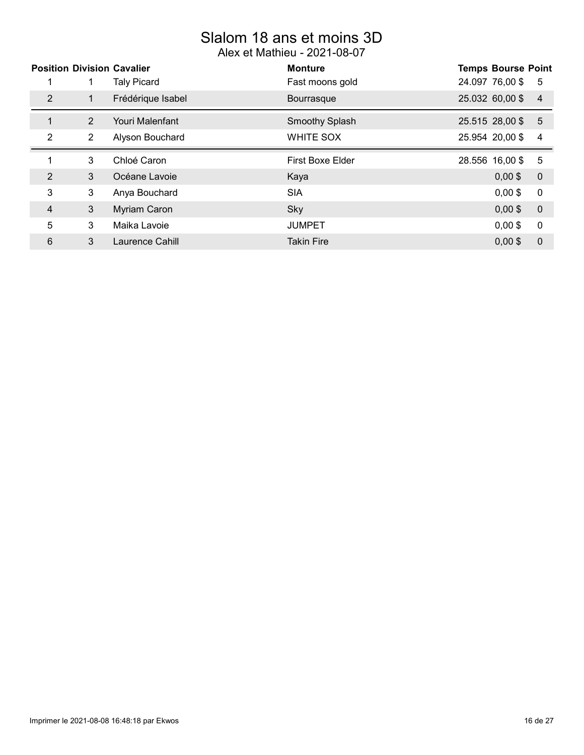# Slalom 18 ans et moins 3D

|                |                | <b>Position Division Cavalier</b> | <b>Monture</b>          | <b>Temps Bourse Point</b> |                |
|----------------|----------------|-----------------------------------|-------------------------|---------------------------|----------------|
|                |                | <b>Taly Picard</b>                | Fast moons gold         | 24.097 76,00 \$           | 5              |
| 2              | 1              | Frédérique Isabel                 | Bourrasque              | 25.032 60,00 \$           | $\overline{4}$ |
| $\mathbf{1}$   | 2              | Youri Malenfant                   | <b>Smoothy Splash</b>   | 25.515 28,00 \$           | $\overline{5}$ |
| 2              | $\overline{2}$ | Alyson Bouchard                   | <b>WHITE SOX</b>        | 25.954 20,00 \$           | 4              |
| $\overline{ }$ | 3              | Chloé Caron                       | <b>First Boxe Elder</b> | 28.556 16,00 \$           | 5              |
| 2              | 3              | Océane Lavoie                     | Kaya                    | $0,00$ \$                 | $\overline{0}$ |
| 3              | 3              | Anya Bouchard                     | <b>SIA</b>              | $0,00$ \$                 | $\mathbf 0$    |
| 4              | 3              | Myriam Caron                      | Sky                     | $0,00$ \$                 | $\overline{0}$ |
| 5              | 3              | Maika Lavoie                      | <b>JUMPET</b>           | $0.00$ \$                 | $\mathbf 0$    |
| 6              | 3              | Laurence Cahill                   | <b>Takin Fire</b>       | $0,00$ \$                 | $\mathbf 0$    |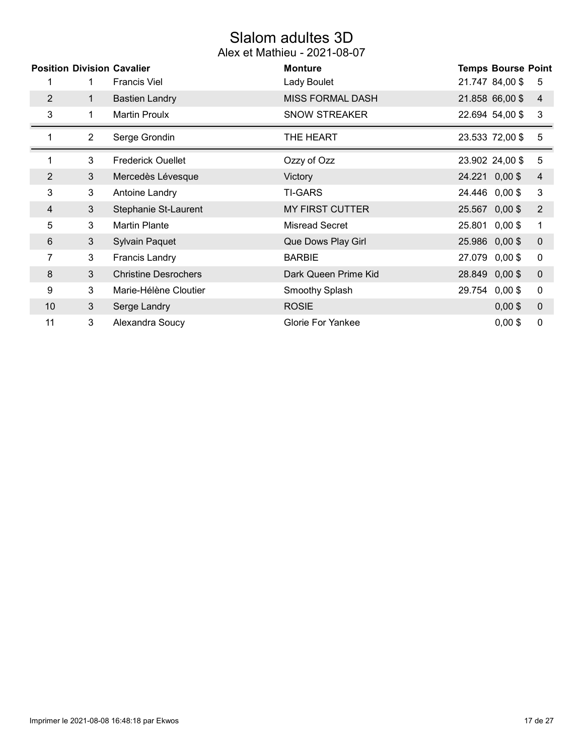# Slalom adultes 3D

|                | <b>Position Division Cavalier</b> |                             | <b>Monture</b>           | <b>Temps Bourse Point</b> |                |
|----------------|-----------------------------------|-----------------------------|--------------------------|---------------------------|----------------|
|                | 1                                 | <b>Francis Viel</b>         | Lady Boulet              | 21.747 84,00 \$           | 5              |
| 2              | $\mathbf{1}$                      | <b>Bastien Landry</b>       | <b>MISS FORMAL DASH</b>  | 21.858 66,00 \$           | $\overline{4}$ |
| 3              | 1.                                | <b>Martin Proulx</b>        | <b>SNOW STREAKER</b>     | 22.694 54,00 \$           | $\mathbf{3}$   |
|                | $\overline{2}$                    | Serge Grondin               | THE HEART                | 23.533 72,00 \$           | 5              |
| 1              | 3                                 | <b>Frederick Ouellet</b>    | Ozzy of Ozz              | 23.902 24,00 \$           | 5              |
| $\overline{2}$ | 3 <sup>1</sup>                    | Mercedès Lévesque           | Victory                  | 24.221 0,00 \$            | $\overline{4}$ |
| 3              | 3                                 | Antoine Landry              | <b>TI-GARS</b>           | 24.446 0,00 \$            | 3              |
| $\overline{4}$ | 3                                 | Stephanie St-Laurent        | <b>MY FIRST CUTTER</b>   | 25.567 0,00 \$            | $\overline{2}$ |
| 5              | 3                                 | <b>Martin Plante</b>        | Misread Secret           | 25.801 0,00 \$            | 1              |
| 6              | 3                                 | <b>Sylvain Paquet</b>       | Que Dows Play Girl       | 25.986 0,00 \$            | $\mathbf 0$    |
| 7              | 3                                 | <b>Francis Landry</b>       | <b>BARBIE</b>            | 27.079 0,00 \$            | $\mathbf 0$    |
| 8              | 3                                 | <b>Christine Desrochers</b> | Dark Queen Prime Kid     | 28.849 0,00 \$            | $\mathbf 0$    |
| 9              | 3                                 | Marie-Hélène Cloutier       | Smoothy Splash           | 29.754 0,00 \$            | 0              |
| 10             | 3                                 | Serge Landry                | <b>ROSIE</b>             | $0,00$ \$                 | $\mathbf 0$    |
| 11             | 3                                 | Alexandra Soucy             | <b>Glorie For Yankee</b> | $0,00$ \$                 | 0              |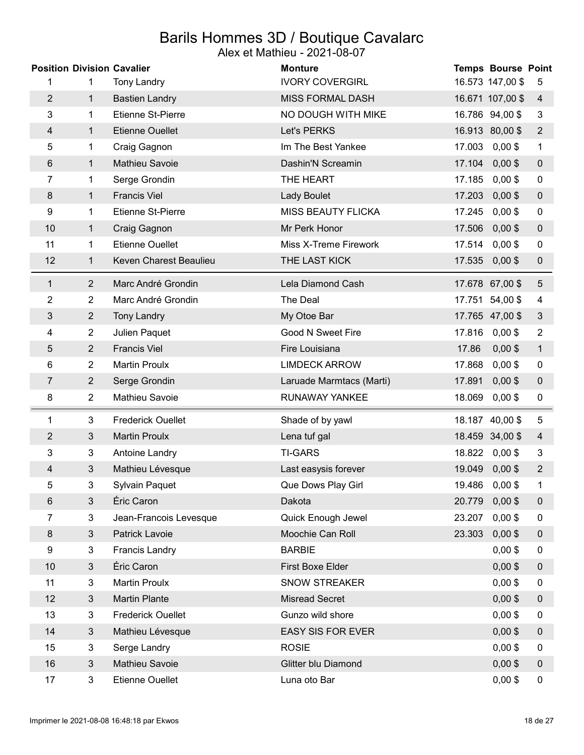## Barils Hommes 3D / Boutique Cavalarc

|                | <b>Position Division Cavalier</b> |                          | Alex et Mathieu - 2021-08-07<br><b>Monture</b> |        | <b>Temps Bourse Point</b> |                  |
|----------------|-----------------------------------|--------------------------|------------------------------------------------|--------|---------------------------|------------------|
| 1              | 1                                 | <b>Tony Landry</b>       | <b>IVORY COVERGIRL</b>                         |        | 16.573 147,00 \$          | 5                |
| $\overline{2}$ | $\mathbf{1}$                      | <b>Bastien Landry</b>    | <b>MISS FORMAL DASH</b>                        |        | 16.671 107,00 \$          | $\overline{4}$   |
| 3              | 1                                 | Etienne St-Pierre        | NO DOUGH WITH MIKE                             |        | 16.786 94,00 \$           | 3                |
| 4              | $\mathbf{1}$                      | <b>Etienne Ouellet</b>   | Let's PERKS                                    |        | 16.913 80,00 \$           | $\overline{2}$   |
| 5              | 1                                 | Craig Gagnon             | Im The Best Yankee                             |        | 17.003 0,00 \$            | 1                |
| $6\phantom{1}$ | $\mathbf{1}$                      | Mathieu Savoie           | Dashin'N Screamin                              | 17.104 | $0,00$ \$                 | $\pmb{0}$        |
| 7              | 1                                 | Serge Grondin            | THE HEART                                      |        | 17.185 0,00 \$            | $\pmb{0}$        |
| 8              | $\mathbf 1$                       | <b>Francis Viel</b>      | <b>Lady Boulet</b>                             |        | 17.203 0,00 \$            | $\pmb{0}$        |
| 9              | 1                                 | <b>Etienne St-Pierre</b> | <b>MISS BEAUTY FLICKA</b>                      | 17.245 | $0,00$ \$                 | $\pmb{0}$        |
| 10             | 1                                 | Craig Gagnon             | Mr Perk Honor                                  |        | 17.506 0,00 \$            | $\boldsymbol{0}$ |
| 11             | 1                                 | <b>Etienne Ouellet</b>   | Miss X-Treme Firework                          | 17.514 | $0,00$ \$                 | 0                |
| 12             | 1                                 | Keven Charest Beaulieu   | THE LAST KICK                                  |        | 17.535 0,00 \$            | $\pmb{0}$        |
| 1              | $\overline{2}$                    | Marc André Grondin       | Lela Diamond Cash                              |        | 17.678 67,00 \$           | $\overline{5}$   |
| 2              | $\overline{2}$                    | Marc André Grondin       | The Deal                                       |        | 17.751 54,00 \$           | 4                |
| 3              | $\overline{2}$                    | <b>Tony Landry</b>       | My Otoe Bar                                    |        | 17.765 47,00 \$           | $\mathfrak{Z}$   |
| 4              | $\overline{2}$                    | Julien Paquet            | Good N Sweet Fire                              | 17.816 | $0,00$ \$                 | $\overline{2}$   |
| 5              | $\overline{2}$                    | <b>Francis Viel</b>      | Fire Louisiana                                 | 17.86  | $0,00$ \$                 | $\mathbf{1}$     |
| 6              | 2                                 | <b>Martin Proulx</b>     | <b>LIMDECK ARROW</b>                           | 17.868 | $0,00$ \$                 | 0                |
| $\overline{7}$ | $\overline{2}$                    | Serge Grondin            | Laruade Marmtacs (Marti)                       | 17.891 | $0,00$ \$                 | $\pmb{0}$        |
| 8              | $\overline{2}$                    | Mathieu Savoie           | RUNAWAY YANKEE                                 | 18.069 | $0,00$ \$                 | $\pmb{0}$        |
| 1              | 3                                 | <b>Frederick Ouellet</b> | Shade of by yawl                               |        | 18.187 40,00 \$           | 5                |
| $\overline{2}$ | 3                                 | <b>Martin Proulx</b>     | Lena tuf gal                                   |        | 18.459 34,00 \$           | $\overline{4}$   |
| 3              | 3                                 | Antoine Landry           | <b>TI-GARS</b>                                 | 18.822 | $0,00$ \$                 | 3                |
| 4              | 3                                 | Mathieu Lévesque         | Last easysis forever                           | 19.049 | $0,00$ \$                 | $\overline{2}$   |
| 5              | 3                                 | <b>Sylvain Paquet</b>    | Que Dows Play Girl                             | 19.486 | $0,00$ \$                 | 1                |
| $\,6$          | $\mathfrak 3$                     | Éric Caron               | Dakota                                         | 20.779 | $0,00$ \$                 | $\boldsymbol{0}$ |
| 7              | 3                                 | Jean-Francois Levesque   | Quick Enough Jewel                             | 23.207 | $0,00$ \$                 | 0                |
| $\bf 8$        | $\mathbf{3}$                      | Patrick Lavoie           | Moochie Can Roll                               | 23.303 | $0,00$ \$                 | $\boldsymbol{0}$ |
| 9              | $\mathfrak{S}$                    | <b>Francis Landry</b>    | <b>BARBIE</b>                                  |        | $0,00$ \$                 | $\pmb{0}$        |
| 10             | 3                                 | Éric Caron               | First Boxe Elder                               |        | $0,00$ \$                 | $\boldsymbol{0}$ |
| 11             | 3                                 | <b>Martin Proulx</b>     | <b>SNOW STREAKER</b>                           |        | $0,00$ \$                 | $\pmb{0}$        |
| 12             | $\mathfrak{S}$                    | <b>Martin Plante</b>     | <b>Misread Secret</b>                          |        | $0,00$ \$                 | $\pmb{0}$        |
| 13             | 3                                 | <b>Frederick Ouellet</b> | Gunzo wild shore                               |        | $0,00$ \$                 | $\pmb{0}$        |
| 14             | $\mathfrak{S}$                    | Mathieu Lévesque         | <b>EASY SIS FOR EVER</b>                       |        | $0,00$ \$                 | $\boldsymbol{0}$ |
| 15             | 3                                 | Serge Landry             | <b>ROSIE</b>                                   |        | $0,00$ \$                 | 0                |
| 16             | $\mathbf{3}$                      | Mathieu Savoie           | Glitter blu Diamond                            |        | $0,00$ \$                 | $\pmb{0}$        |
| 17             | $\mathbf{3}$                      | Etienne Ouellet          | Luna oto Bar                                   |        | $0,00$ \$                 | 0                |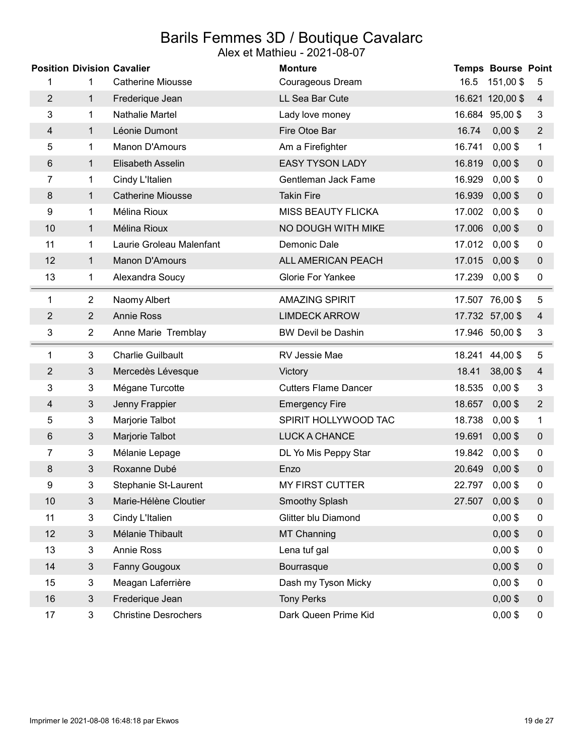## Barils Femmes 3D / Boutique Cavalarc

|                |                | <b>Position Division Cavalier</b> | <b>Monture</b>              |        | <b>Temps Bourse Point</b> |                  |
|----------------|----------------|-----------------------------------|-----------------------------|--------|---------------------------|------------------|
| 1              | 1              | <b>Catherine Miousse</b>          | Courageous Dream            |        | 16.5 151,00 \$            | 5                |
| $\overline{2}$ | $\mathbf{1}$   | Frederique Jean                   | LL Sea Bar Cute             |        | 16.621 120,00 \$          | $\overline{4}$   |
| 3              | 1              | Nathalie Martel                   | Lady love money             |        | 16.684 95,00 \$           | 3                |
| 4              | 1              | Léonie Dumont                     | Fire Otoe Bar               | 16.74  | $0,00$ \$                 | $\overline{2}$   |
| 5              | 1              | Manon D'Amours                    | Am a Firefighter            | 16.741 | $0,00$ \$                 | $\mathbf{1}$     |
| 6              | $\mathbf 1$    | Elisabeth Asselin                 | <b>EASY TYSON LADY</b>      | 16.819 | $0,00$ \$                 | $\pmb{0}$        |
| 7              | 1              | Cindy L'Italien                   | Gentleman Jack Fame         | 16.929 | $0,00$ \$                 | $\mathbf 0$      |
| 8              | $\mathbf 1$    | <b>Catherine Miousse</b>          | <b>Takin Fire</b>           | 16.939 | $0,00$ \$                 | $\mathbf 0$      |
| 9              | 1              | Mélina Rioux                      | <b>MISS BEAUTY FLICKA</b>   | 17.002 | $0,00$ \$                 | 0                |
| 10             | 1              | Mélina Rioux                      | NO DOUGH WITH MIKE          | 17.006 | $0,00$ \$                 | $\boldsymbol{0}$ |
| 11             | 1              | Laurie Groleau Malenfant          | Demonic Dale                | 17.012 | $0,00$ \$                 | 0                |
| 12             | $\mathbf 1$    | Manon D'Amours                    | ALL AMERICAN PEACH          | 17.015 | $0,00$ \$                 | $\mathbf 0$      |
| 13             | 1              | Alexandra Soucy                   | <b>Glorie For Yankee</b>    | 17.239 | $0,00$ \$                 | 0                |
| 1              | $\overline{2}$ | Naomy Albert                      | <b>AMAZING SPIRIT</b>       |        | 17.507 76,00 \$           | 5                |
| $\overline{2}$ | $\overline{2}$ | <b>Annie Ross</b>                 | <b>LIMDECK ARROW</b>        |        | 17.732 57,00 \$           | $\overline{4}$   |
| 3              | $\overline{2}$ | Anne Marie Tremblay               | <b>BW Devil be Dashin</b>   |        | 17.946 50,00 \$           | 3                |
|                |                |                                   |                             |        |                           |                  |
| 1              | 3              | <b>Charlie Guilbault</b>          | RV Jessie Mae               |        | 18.241 44,00 \$           | 5                |
| $\overline{2}$ | $\mathfrak{Z}$ | Mercedès Lévesque                 | Victory                     | 18.41  | 38,00\$                   | $\overline{4}$   |
| 3              | 3              | Mégane Turcotte                   | <b>Cutters Flame Dancer</b> | 18.535 | $0,00$ \$                 | $\mathbf{3}$     |
| 4              | $\mathbf{3}$   | Jenny Frappier                    | <b>Emergency Fire</b>       | 18.657 | $0,00$ \$                 | $\overline{2}$   |
| 5              | $\mathfrak{B}$ | Marjorie Talbot                   | SPIRIT HOLLYWOOD TAC        | 18.738 | $0,00$ \$                 | $\mathbf{1}$     |
| $6\phantom{1}$ | $\mathbf{3}$   | Marjorie Talbot                   | LUCK A CHANCE               | 19.691 | $0,00$ \$                 | $\mathbf 0$      |
| 7              | 3              | Mélanie Lepage                    | DL Yo Mis Peppy Star        | 19.842 | $0,00$ \$                 | 0                |
| 8              | 3              | Roxanne Dubé                      | Enzo                        | 20.649 | $0,00$ \$                 | $\mathbf 0$      |
| 9              | 3              | Stephanie St-Laurent              | <b>MY FIRST CUTTER</b>      | 22.797 | $0,00$ \$                 | $\pmb{0}$        |
| 10             | $\mathfrak{S}$ | Marie-Hélène Cloutier             | <b>Smoothy Splash</b>       | 27.507 | $0,00$ \$                 | $\pmb{0}$        |
| 11             | $\mathfrak{S}$ | Cindy L'Italien                   | Glitter blu Diamond         |        | $0,00$ \$                 | $\mathbf 0$      |
| 12             | $\mathbf{3}$   | Mélanie Thibault                  | <b>MT Channing</b>          |        | $0,00$ \$                 | $\boldsymbol{0}$ |
| 13             | 3              | Annie Ross                        | Lena tuf gal                |        | $0,00$ \$                 | 0                |
| 14             | $\sqrt{3}$     | Fanny Gougoux                     | Bourrasque                  |        | $0,00$ \$                 | $\pmb{0}$        |
| 15             | 3              | Meagan Laferrière                 | Dash my Tyson Micky         |        | $0,00$ \$                 | 0                |
| 16             | $\mathfrak{S}$ | Frederique Jean                   | <b>Tony Perks</b>           |        | $0,00$ \$                 | $\boldsymbol{0}$ |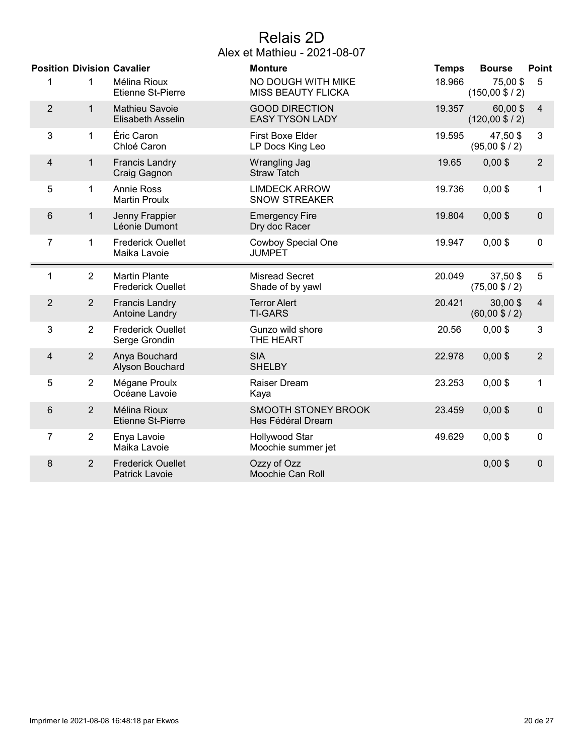## Relais 2D

| <b>Position Division Cavalier</b> |                |                                                   | <b>Monture</b>                                  | <b>Temps</b> | <b>Bourse</b>                        | <b>Point</b>   |
|-----------------------------------|----------------|---------------------------------------------------|-------------------------------------------------|--------------|--------------------------------------|----------------|
| 1                                 | 1              | Mélina Rioux<br>Etienne St-Pierre                 | NO DOUGH WITH MIKE<br>MISS BEAUTY FLICKA        | 18.966       | 75,00\$<br>$(150,00 \$ / 2)          | 5              |
| $\overline{2}$                    | 1              | <b>Mathieu Savoie</b><br>Elisabeth Asselin        | <b>GOOD DIRECTION</b><br><b>EASY TYSON LADY</b> | 19.357       | 60,00\$<br>$(120,00 \$ / 2)          | $\overline{4}$ |
| $\mathbf{3}$                      | 1              | Éric Caron<br>Chloé Caron                         | <b>First Boxe Elder</b><br>LP Docs King Leo     | 19.595       | 47,50 \$<br>$(95,00 \text{ $6 / 2})$ | 3              |
| $\overline{4}$                    | 1              | <b>Francis Landry</b><br>Craig Gagnon             | Wrangling Jag<br><b>Straw Tatch</b>             | 19.65        | $0,00$ \$                            | $\overline{2}$ |
| 5                                 | 1              | <b>Annie Ross</b><br><b>Martin Proulx</b>         | <b>LIMDECK ARROW</b><br><b>SNOW STREAKER</b>    | 19.736       | $0,00$ \$                            | $\mathbf 1$    |
| $6\phantom{1}$                    | 1              | Jenny Frappier<br>Léonie Dumont                   | <b>Emergency Fire</b><br>Dry doc Racer          | 19.804       | $0,00$ \$                            | $\pmb{0}$      |
| $\overline{7}$                    | 1              | <b>Frederick Ouellet</b><br>Maika Lavoie          | <b>Cowboy Special One</b><br><b>JUMPET</b>      | 19.947       | $0,00$ \$                            | 0              |
| 1                                 | $\overline{2}$ | <b>Martin Plante</b><br><b>Frederick Ouellet</b>  | <b>Misread Secret</b><br>Shade of by yawl       | 20.049       | 37,50\$<br>$(75,00 \text{ $6 / 2})$  | 5              |
| $\overline{2}$                    | $\overline{2}$ | <b>Francis Landry</b><br><b>Antoine Landry</b>    | <b>Terror Alert</b><br><b>TI-GARS</b>           | 20.421       | $30,00$ \$<br>$(60,00 \$ / 2)        | $\overline{4}$ |
| 3                                 | $\overline{2}$ | <b>Frederick Ouellet</b><br>Serge Grondin         | Gunzo wild shore<br>THE HEART                   | 20.56        | $0,00$ \$                            | 3              |
| 4                                 | $\overline{2}$ | Anya Bouchard<br>Alyson Bouchard                  | <b>SIA</b><br><b>SHELBY</b>                     | 22.978       | $0,00$ \$                            | $\overline{2}$ |
| 5                                 | $\overline{2}$ | Mégane Proulx<br>Océane Lavoie                    | Raiser Dream<br>Kaya                            | 23.253       | $0,00$ \$                            | $\mathbf{1}$   |
| 6                                 | $\overline{2}$ | Mélina Rioux<br><b>Etienne St-Pierre</b>          | SMOOTH STONEY BROOK<br>Hes Fédéral Dream        | 23.459       | $0,00$ \$                            | $\mathbf 0$    |
| 7                                 | $\overline{2}$ | Enya Lavoie<br>Maika Lavoie                       | Hollywood Star<br>Moochie summer jet            | 49.629       | $0,00$ \$                            | 0              |
| 8                                 | $\overline{2}$ | <b>Frederick Ouellet</b><br><b>Patrick Lavoie</b> | Ozzy of Ozz<br>Moochie Can Roll                 |              | $0,00$ \$                            | $\mathbf 0$    |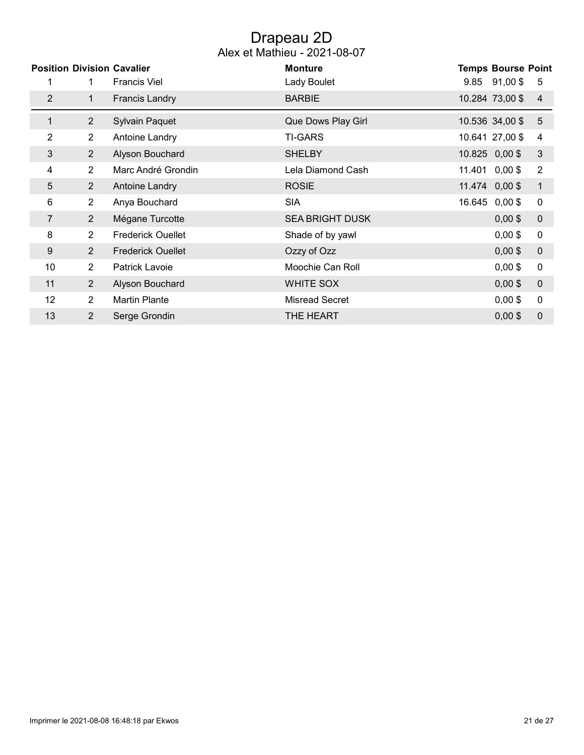### Drapeau 2D Alex et Mathieu - 2021-08-07

|                 |                | <b>Position Division Cavalier</b> | <b>Monture</b>         |        | <b>Temps Bourse Point</b> |                  |
|-----------------|----------------|-----------------------------------|------------------------|--------|---------------------------|------------------|
| 1               | 1.             | <b>Francis Viel</b>               | Lady Boulet            |        | $9.85$ $91,00$ \$         | 5                |
| $\overline{2}$  | 1              | <b>Francis Landry</b>             | <b>BARBIE</b>          |        | 10.284 73,00 \$           | $\overline{4}$   |
| 1               | $\overline{2}$ | <b>Sylvain Paquet</b>             | Que Dows Play Girl     |        | 10.536 34,00 \$           | 5                |
| $\overline{2}$  | $\overline{2}$ | Antoine Landry                    | <b>TI-GARS</b>         |        | 10.641 27,00 \$           | 4                |
| 3               | $\overline{2}$ | Alyson Bouchard                   | <b>SHELBY</b>          |        | 10.825 0,00 \$            | $\mathfrak{S}$   |
| 4               | $\overline{2}$ | Marc André Grondin                | Lela Diamond Cash      |        | 11.401 0,00 \$            | $\overline{2}$   |
| 5               | $\overline{2}$ | Antoine Landry                    | <b>ROSIE</b>           |        | 11.474 0,00 \$            | $\mathbf{1}$     |
| 6               | $\overline{2}$ | Anya Bouchard                     | <b>SIA</b>             | 16.645 | $0,00$ \$                 | $\mathbf 0$      |
| 7               | $\overline{2}$ | Mégane Turcotte                   | <b>SEA BRIGHT DUSK</b> |        | $0,00$ \$                 | $\pmb{0}$        |
| 8               | $\overline{2}$ | <b>Frederick Ouellet</b>          | Shade of by yawl       |        | $0,00$ \$                 | $\mathbf 0$      |
| 9               | $\overline{2}$ | <b>Frederick Ouellet</b>          | Ozzy of Ozz            |        | $0,00$ \$                 | $\boldsymbol{0}$ |
| 10              | $\overline{2}$ | Patrick Lavoie                    | Moochie Can Roll       |        | $0,00$ \$                 | $\pmb{0}$        |
| 11              | $\overline{2}$ | Alyson Bouchard                   | WHITE SOX              |        | $0,00$ \$                 | $\mathbf 0$      |
| 12 <sup>°</sup> | $\overline{2}$ | <b>Martin Plante</b>              | <b>Misread Secret</b>  |        | $0,00$ \$                 | $\pmb{0}$        |
| 13              | $\overline{2}$ | Serge Grondin                     | THE HEART              |        | $0,00$ \$                 | $\mathbf 0$      |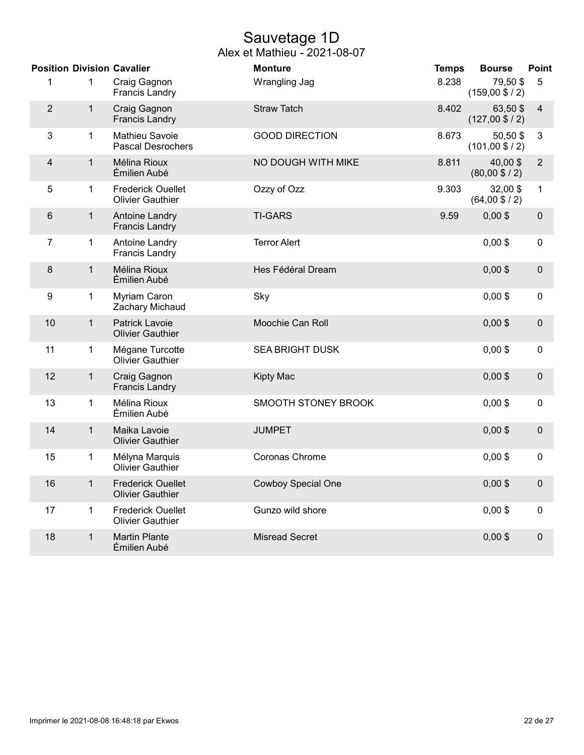## Sauvetage 1D

|                |              | <b>Position Division Cavalier</b>                   | <b>Monture</b>            | <b>Temps</b> | <b>Bourse</b>                         | <b>Point</b>     |
|----------------|--------------|-----------------------------------------------------|---------------------------|--------------|---------------------------------------|------------------|
| 1              | 1            | Craig Gagnon<br><b>Francis Landry</b>               | Wrangling Jag             | 8.238        | 79,50 \$<br>$(159,00 \$ / 2)          | 5                |
| $\overline{2}$ | $\mathbf{1}$ | Craig Gagnon<br><b>Francis Landry</b>               | <b>Straw Tatch</b>        | 8.402        | 63,50 \$<br>$(127,00 \text{ $6 / 2})$ | 4                |
| 3              | $\mathbf{1}$ | Mathieu Savoie<br><b>Pascal Desrochers</b>          | <b>GOOD DIRECTION</b>     | 8.673        | 50,50\$<br>$(101,00 \$ / 2)           | 3                |
| 4              | $\mathbf 1$  | Mélina Rioux<br>Émilien Aubé                        | NO DOUGH WITH MIKE        | 8.811        | 40,00\$<br>$(80,00 \$ / 2)            | $\overline{2}$   |
| 5              | 1            | <b>Frederick Ouellet</b><br><b>Olivier Gauthier</b> | Ozzy of Ozz               | 9.303        | 32,00\$<br>$(64,00 \$ / 2)            | $\mathbf{1}$     |
| 6              | $\mathbf{1}$ | <b>Antoine Landry</b><br><b>Francis Landry</b>      | <b>TI-GARS</b>            | 9.59         | $0,00$ \$                             | $\pmb{0}$        |
| $\overline{7}$ | 1            | Antoine Landry<br><b>Francis Landry</b>             | <b>Terror Alert</b>       |              | $0,00$ \$                             | 0                |
| 8              | $\mathbf{1}$ | Mélina Rioux<br>Émilien Aubé                        | Hes Fédéral Dream         |              | $0,00$ \$                             | $\pmb{0}$        |
| 9              | 1            | Myriam Caron<br>Zachary Michaud                     | Sky                       |              | $0,00$ \$                             | $\pmb{0}$        |
| 10             | $\mathbf{1}$ | <b>Patrick Lavoie</b><br><b>Olivier Gauthier</b>    | Moochie Can Roll          |              | $0,00$ \$                             | $\boldsymbol{0}$ |
| 11             | 1            | Mégane Turcotte<br><b>Olivier Gauthier</b>          | <b>SEA BRIGHT DUSK</b>    |              | $0,00$ \$                             | $\mathbf 0$      |
| 12             | $\mathbf{1}$ | Craig Gagnon<br><b>Francis Landry</b>               | Kipty Mac                 |              | $0,00$ \$                             | $\mathbf 0$      |
| 13             | 1            | Mélina Rioux<br>Émilien Aubé                        | SMOOTH STONEY BROOK       |              | $0,00$ \$                             | 0                |
| 14             | $\mathbf{1}$ | Maika Lavoie<br><b>Olivier Gauthier</b>             | <b>JUMPET</b>             |              | $0,00$ \$                             | $\pmb{0}$        |
| 15             | 1            | Mélyna Marquis<br><b>Olivier Gauthier</b>           | Coronas Chrome            |              | $0,00$ \$                             | $\mathbf 0$      |
| 16             | $\mathbf{1}$ | <b>Frederick Ouellet</b><br><b>Olivier Gauthier</b> | <b>Cowboy Special One</b> |              | $0,00$ \$                             | $\pmb{0}$        |
| 17             | $\mathbf{1}$ | <b>Frederick Ouellet</b><br><b>Olivier Gauthier</b> | Gunzo wild shore          |              | $0,00$ \$                             | $\mathbf 0$      |
| 18             | 1            | <b>Martin Plante</b><br>Émilien Aubé                | <b>Misread Secret</b>     |              | $0,00$ \$                             | $\mathbf 0$      |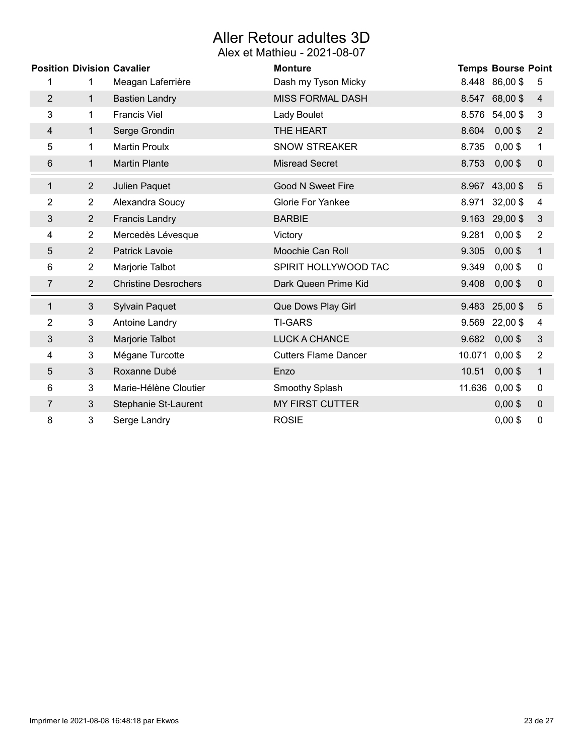## Aller Retour adultes 3D

|                | <b>Position Division Cavalier</b> |                             | <b>Monture</b>              |        | <b>Temps Bourse Point</b> |                |
|----------------|-----------------------------------|-----------------------------|-----------------------------|--------|---------------------------|----------------|
| 1              | 1.                                | Meagan Laferrière           | Dash my Tyson Micky         |        | 8.448 86,00 \$            | 5              |
| $\overline{2}$ | $\mathbf 1$                       | <b>Bastien Landry</b>       | <b>MISS FORMAL DASH</b>     |        | 8.547 68,00 \$            | 4              |
| 3              | 1                                 | <b>Francis Viel</b>         | Lady Boulet                 | 8.576  | 54,00 \$                  | 3              |
| 4              | $\mathbf 1$                       | Serge Grondin               | THE HEART                   | 8.604  | $0,00$ \$                 | $\overline{2}$ |
| 5              | 1                                 | <b>Martin Proulx</b>        | <b>SNOW STREAKER</b>        | 8.735  | $0,00$ \$                 | $\mathbf 1$    |
| 6              | 1                                 | <b>Martin Plante</b>        | <b>Misread Secret</b>       | 8.753  | $0,00$ \$                 | 0              |
| $\mathbf{1}$   | $\overline{2}$                    | Julien Paquet               | <b>Good N Sweet Fire</b>    |        | 8.967 43,00 \$            | $\sqrt{5}$     |
| 2              | $\overline{2}$                    | Alexandra Soucy             | <b>Glorie For Yankee</b>    | 8.971  | $32,00$ \$                | 4              |
| 3              | $\overline{2}$                    | <b>Francis Landry</b>       | <b>BARBIE</b>               |        | 9.163 29,00 \$            | $\sqrt{3}$     |
| 4              | $\overline{2}$                    | Mercedès Lévesque           | Victory                     | 9.281  | $0,00$ \$                 | $\overline{2}$ |
| 5              | $\overline{2}$                    | Patrick Lavoie              | Moochie Can Roll            | 9.305  | $0,00$ \$                 | $\mathbf{1}$   |
| 6              | $\overline{2}$                    | Marjorie Talbot             | SPIRIT HOLLYWOOD TAC        | 9.349  | $0,00$ \$                 | 0              |
| 7              | $\overline{2}$                    | <b>Christine Desrochers</b> | Dark Queen Prime Kid        | 9.408  | $0,00$ \$                 | $\pmb{0}$      |
| 1              | $\mathfrak{S}$                    | <b>Sylvain Paquet</b>       | Que Dows Play Girl          |        | 9.483 25,00 \$            | $\overline{5}$ |
| 2              | 3                                 | Antoine Landry              | <b>TI-GARS</b>              | 9.569  | 22,00\$                   | 4              |
| 3              | 3                                 | Marjorie Talbot             | <b>LUCK A CHANCE</b>        | 9.682  | $0,00$ \$                 | $\sqrt{3}$     |
| 4              | 3                                 | Mégane Turcotte             | <b>Cutters Flame Dancer</b> | 10.071 | $0,00$ \$                 | $\overline{2}$ |
| 5              | 3                                 | Roxanne Dubé                | Enzo                        | 10.51  | $0,00$ \$                 | $\mathbf{1}$   |
| 6              | 3                                 | Marie-Hélène Cloutier       | Smoothy Splash              | 11.636 | $0,00$ \$                 | 0              |
| 7              | 3                                 | Stephanie St-Laurent        | <b>MY FIRST CUTTER</b>      |        | $0,00$ \$                 | $\mathbf 0$    |
| 8              | 3                                 | Serge Landry                | <b>ROSIE</b>                |        | $0,00$ \$                 | 0              |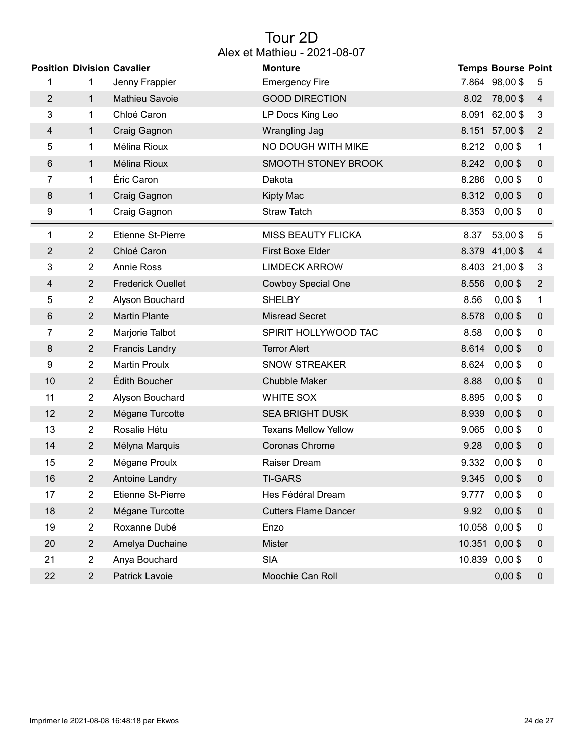### Tour 2D Alex et Mathieu - 2021-08-07

|                |                | <b>Position Division Cavalier</b> | <b>Monture</b>              |        | <b>Temps Bourse Point</b> |                  |
|----------------|----------------|-----------------------------------|-----------------------------|--------|---------------------------|------------------|
| 1              | 1              | Jenny Frappier                    | <b>Emergency Fire</b>       |        | 7.864 98,00 \$            | 5                |
| $\overline{2}$ | 1              | Mathieu Savoie                    | <b>GOOD DIRECTION</b>       | 8.02   | 78,00\$                   | 4                |
| 3              | 1              | Chloé Caron                       | LP Docs King Leo            | 8.091  | 62,00 \$                  | 3                |
| 4              | $\mathbf{1}$   | Craig Gagnon                      | Wrangling Jag               | 8.151  | 57,00 \$                  | $\overline{2}$   |
| 5              | 1              | Mélina Rioux                      | NO DOUGH WITH MIKE          | 8.212  | $0,00$ \$                 | 1                |
| 6              | $\mathbf 1$    | Mélina Rioux                      | SMOOTH STONEY BROOK         | 8.242  | $0,00$ \$                 | $\pmb{0}$        |
| 7              | 1              | Éric Caron                        | Dakota                      | 8.286  | $0,00$ \$                 | 0                |
| 8              | 1              | Craig Gagnon                      | <b>Kipty Mac</b>            | 8.312  | $0,00$ \$                 | $\pmb{0}$        |
| 9              | 1              | Craig Gagnon                      | <b>Straw Tatch</b>          | 8.353  | $0,00$ \$                 | 0                |
| 1              | 2              | <b>Etienne St-Pierre</b>          | <b>MISS BEAUTY FLICKA</b>   | 8.37   | 53,00 \$                  | 5                |
| $\overline{2}$ | $\overline{2}$ | Chloé Caron                       | <b>First Boxe Elder</b>     |        | 8.379 41,00 \$            | 4                |
| 3              | $\overline{2}$ | <b>Annie Ross</b>                 | <b>LIMDECK ARROW</b>        |        | 8.403 21,00 \$            | 3                |
| $\overline{4}$ | $\overline{2}$ | <b>Frederick Ouellet</b>          | <b>Cowboy Special One</b>   | 8.556  | $0,00$ \$                 | $\overline{2}$   |
| 5              | $\overline{2}$ | Alyson Bouchard                   | <b>SHELBY</b>               | 8.56   | $0,00$ \$                 | $\mathbf 1$      |
| 6              | $\overline{2}$ | <b>Martin Plante</b>              | <b>Misread Secret</b>       | 8.578  | $0,00$ \$                 | 0                |
| 7              | 2              | Marjorie Talbot                   | SPIRIT HOLLYWOOD TAC        | 8.58   | $0,00$ \$                 | 0                |
| 8              | $\overline{2}$ | <b>Francis Landry</b>             | <b>Terror Alert</b>         | 8.614  | $0,00$ \$                 | 0                |
| 9              | $\overline{2}$ | <b>Martin Proulx</b>              | <b>SNOW STREAKER</b>        | 8.624  | $0,00$ \$                 | 0                |
| 10             | $\overline{2}$ | Édith Boucher                     | <b>Chubble Maker</b>        | 8.88   | $0,00$ \$                 | $\pmb{0}$        |
| 11             | $\overline{c}$ | Alyson Bouchard                   | WHITE SOX                   | 8.895  | $0,00$ \$                 | 0                |
| 12             | $\overline{2}$ | Mégane Turcotte                   | <b>SEA BRIGHT DUSK</b>      | 8.939  | $0,00$ \$                 | $\pmb{0}$        |
| 13             | 2              | Rosalie Hétu                      | <b>Texans Mellow Yellow</b> | 9.065  | $0,00$ \$                 | 0                |
| 14             | $\overline{2}$ | Mélyna Marquis                    | Coronas Chrome              | 9.28   | $0,00$ \$                 | 0                |
| 15             | $\overline{2}$ | Mégane Proulx                     | <b>Raiser Dream</b>         | 9.332  | $0,00$ \$                 | 0                |
| 16             | 2              | <b>Antoine Landry</b>             | <b>TI-GARS</b>              | 9.345  | $0,00$ \$                 | $\pmb{0}$        |
| 17             | $\overline{2}$ | Etienne St-Pierre                 | Hes Fédéral Dream           | 9.777  | $0,00$ \$                 | $\boldsymbol{0}$ |
| 18             | $\overline{2}$ | Mégane Turcotte                   | <b>Cutters Flame Dancer</b> | 9.92   | $0,00$ \$                 | $\mathbf 0$      |
| 19             | $\overline{2}$ | Roxanne Dubé                      | Enzo                        | 10.058 | $0,00$ \$                 | 0                |
| 20             | $\overline{2}$ | Amelya Duchaine                   | Mister                      |        | 10.351 0,00 \$            | 0                |
| 21             | $\overline{2}$ | Anya Bouchard                     | <b>SIA</b>                  |        | 10.839 0,00 \$            | $\boldsymbol{0}$ |
| 22             | $\overline{2}$ | Patrick Lavoie                    | Moochie Can Roll            |        | $0,00$ \$                 | $\pmb{0}$        |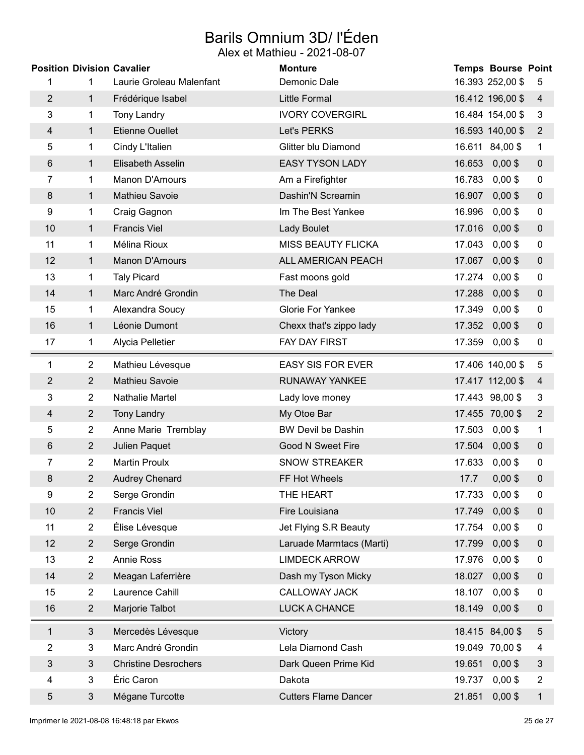# Barils Omnium 3D/ l'Éden

|                         |                | <b>Position Division Cavalier</b> | <b>Monture</b>              |        | <b>Temps Bourse Point</b> |                  |
|-------------------------|----------------|-----------------------------------|-----------------------------|--------|---------------------------|------------------|
|                         | 1              | Laurie Groleau Malenfant          | Demonic Dale                |        | 16.393 252,00 \$          | 5                |
| $\overline{2}$          | $\mathbf 1$    | Frédérique Isabel                 | <b>Little Formal</b>        |        | 16.412 196,00 \$          | $\overline{4}$   |
| 3                       | 1              | <b>Tony Landry</b>                | <b>IVORY COVERGIRL</b>      |        | 16.484 154,00 \$          | 3                |
| 4                       | $\mathbf{1}$   | <b>Etienne Ouellet</b>            | Let's PERKS                 |        | 16.593 140,00 \$          | $\overline{2}$   |
| 5                       | 1              | Cindy L'Italien                   | Glitter blu Diamond         |        | 16.611 84,00 \$           | $\mathbf{1}$     |
| $6\phantom{1}$          | $\mathbf{1}$   | Elisabeth Asselin                 | <b>EASY TYSON LADY</b>      | 16.653 | $0,00$ \$                 | $\boldsymbol{0}$ |
| 7                       | $\mathbf{1}$   | Manon D'Amours                    | Am a Firefighter            | 16.783 | $0,00$ \$                 | $\mathbf 0$      |
| $\bf 8$                 | 1              | Mathieu Savoie                    | Dashin'N Screamin           | 16.907 | $0,00$ \$                 | $\pmb{0}$        |
| 9                       | 1              | Craig Gagnon                      | Im The Best Yankee          | 16.996 | $0,00$ \$                 | $\mathbf 0$      |
| 10                      | $\mathbf{1}$   | <b>Francis Viel</b>               | <b>Lady Boulet</b>          | 17.016 | $0,00$ \$                 | $\mathbf 0$      |
| 11                      | 1              | Mélina Rioux                      | <b>MISS BEAUTY FLICKA</b>   | 17.043 | $0,00$ \$                 | $\boldsymbol{0}$ |
| 12                      | $\mathbf{1}$   | Manon D'Amours                    | ALL AMERICAN PEACH          | 17.067 | $0,00$ \$                 | $\mathbf 0$      |
| 13                      | 1              | <b>Taly Picard</b>                | Fast moons gold             | 17.274 | $0,00$ \$                 | $\mathbf 0$      |
| 14                      | $\mathbf{1}$   | Marc André Grondin                | The Deal                    | 17.288 | $0,00$ \$                 | $\pmb{0}$        |
| 15                      | 1              | Alexandra Soucy                   | <b>Glorie For Yankee</b>    | 17.349 | $0,00$ \$                 | $\mathbf 0$      |
| 16                      | $\mathbf{1}$   | Léonie Dumont                     | Chexx that's zippo lady     | 17.352 | $0,00$ \$                 | $\mathbf 0$      |
| 17                      | 1              | Alycia Pelletier                  | FAY DAY FIRST               | 17.359 | $0,00$ \$                 | $\boldsymbol{0}$ |
| 1                       | $\overline{2}$ | Mathieu Lévesque                  | <b>EASY SIS FOR EVER</b>    |        | 17.406 140,00 \$          | 5                |
| $\overline{2}$          | $\overline{2}$ | Mathieu Savoie                    | RUNAWAY YANKEE              |        | 17.417 112,00 \$          | $\overline{4}$   |
| 3                       | $\overline{2}$ | Nathalie Martel                   | Lady love money             |        | 17.443 98,00 \$           | $\mathbf{3}$     |
| 4                       | $\overline{2}$ | <b>Tony Landry</b>                | My Otoe Bar                 |        | 17.455 70,00 \$           | $\overline{2}$   |
| 5                       | $\overline{2}$ | Anne Marie Tremblay               | <b>BW Devil be Dashin</b>   | 17.503 | $0,00$ \$                 | 1                |
| $6\phantom{1}$          | $\overline{2}$ | Julien Paquet                     | <b>Good N Sweet Fire</b>    | 17.504 | $0,00$ \$                 | $\mathbf 0$      |
| 7                       | 2              | <b>Martin Proulx</b>              | <b>SNOW STREAKER</b>        | 17.633 | $0,00$ \$                 | $\mathbf 0$      |
| 8                       | $\overline{2}$ | <b>Audrey Chenard</b>             | FF Hot Wheels               | 17.7   | $0,00$ \$                 | $\mathbf 0$      |
| 9                       | $\overline{2}$ | Serge Grondin                     | THE HEART                   | 17.733 | $0,00$ \$                 | 0                |
| 10                      | $\overline{2}$ | <b>Francis Viel</b>               | Fire Louisiana              | 17.749 | $0,00$ \$                 | $\boldsymbol{0}$ |
| 11                      | $\overline{2}$ | Élise Lévesque                    | Jet Flying S.R Beauty       | 17.754 | $0,00$ \$                 | 0                |
| 12                      | $\overline{2}$ | Serge Grondin                     | Laruade Marmtacs (Marti)    | 17.799 | $0,00$ \$                 | $\boldsymbol{0}$ |
| 13                      | $\overline{2}$ | <b>Annie Ross</b>                 | <b>LIMDECK ARROW</b>        | 17.976 | $0,00$ \$                 | $\boldsymbol{0}$ |
| 14                      | $\overline{2}$ | Meagan Laferrière                 | Dash my Tyson Micky         | 18.027 | $0,00$ \$                 | $\pmb{0}$        |
| 15                      | $\overline{2}$ | Laurence Cahill                   | CALLOWAY JACK               | 18.107 | $0,00$ \$                 | $\boldsymbol{0}$ |
| 16                      | $\overline{2}$ | Marjorie Talbot                   | LUCK A CHANCE               | 18.149 | $0,00$ \$                 | $\boldsymbol{0}$ |
| 1                       | $\mathbf{3}$   | Mercedès Lévesque                 | Victory                     |        | 18.415 84,00 \$           | $\sqrt{5}$       |
| 2                       | 3              | Marc André Grondin                | Lela Diamond Cash           |        | 19.049 70,00 \$           | 4                |
| 3                       | $\mathbf{3}$   | <b>Christine Desrochers</b>       | Dark Queen Prime Kid        | 19.651 | $0,00$ \$                 | $\mathfrak{B}$   |
| $\overline{\mathbf{4}}$ | 3              | Éric Caron                        | Dakota                      | 19.737 | $0,00$ \$                 | $\overline{2}$   |
| 5                       | $\mathfrak{S}$ | Mégane Turcotte                   | <b>Cutters Flame Dancer</b> | 21.851 | $0,00$ \$                 | $\mathbf{1}$     |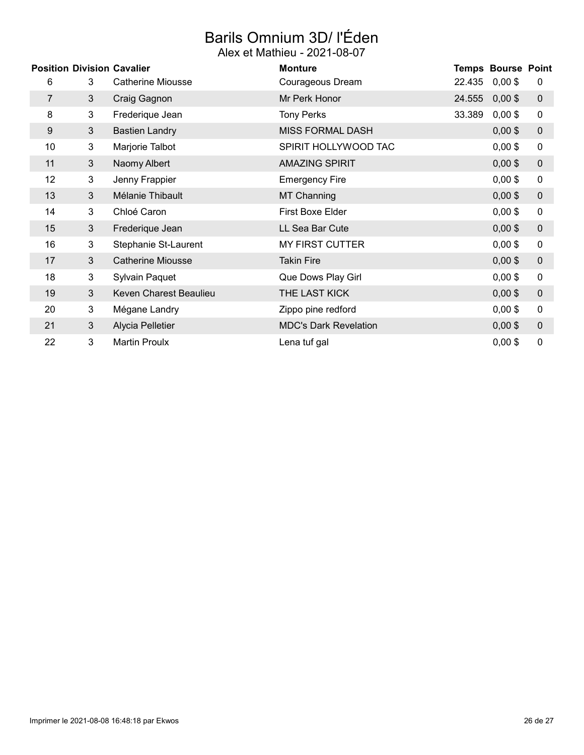# Barils Omnium 3D/ l'Éden

|                 |                | <b>Position Division Cavalier</b> | <b>Monture</b>               |        | <b>Temps Bourse Point</b> |                  |
|-----------------|----------------|-----------------------------------|------------------------------|--------|---------------------------|------------------|
| 6               | 3              | Catherine Miousse                 | Courageous Dream             | 22.435 | $0,00$ \$                 | 0                |
| 7               | 3              | Craig Gagnon                      | Mr Perk Honor                | 24.555 | $0,00$ \$                 | $\boldsymbol{0}$ |
| 8               | 3              | Frederique Jean                   | <b>Tony Perks</b>            | 33.389 | $0,00$ \$                 | 0                |
| 9               | 3              | <b>Bastien Landry</b>             | <b>MISS FORMAL DASH</b>      |        | $0,00$ \$                 | $\mathbf 0$      |
| 10 <sup>°</sup> | 3              | Marjorie Talbot                   | SPIRIT HOLLYWOOD TAC         |        | $0,00$ \$                 | $\pmb{0}$        |
| 11              | 3              | Naomy Albert                      | <b>AMAZING SPIRIT</b>        |        | $0,00$ \$                 | $\mathbf 0$      |
| 12 <sup>2</sup> | 3              | Jenny Frappier                    | <b>Emergency Fire</b>        |        | $0,00$ \$                 | $\mathbf 0$      |
| 13              | 3              | Mélanie Thibault                  | <b>MT Channing</b>           |        | $0,00$ \$                 | $\mathbf 0$      |
| 14              | 3              | Chloé Caron                       | First Boxe Elder             |        | $0,00$ \$                 | $\pmb{0}$        |
| 15              | 3 <sup>1</sup> | Frederique Jean                   | LL Sea Bar Cute              |        | $0,00$ \$                 | $\pmb{0}$        |
| 16              | 3              | Stephanie St-Laurent              | <b>MY FIRST CUTTER</b>       |        | $0,00$ \$                 | $\pmb{0}$        |
| 17              | 3              | <b>Catherine Miousse</b>          | <b>Takin Fire</b>            |        | $0,00$ \$                 | $\mathbf 0$      |
| 18              | 3              | <b>Sylvain Paquet</b>             | Que Dows Play Girl           |        | $0,00$ \$                 | $\mathbf 0$      |
| 19              | 3              | Keven Charest Beaulieu            | THE LAST KICK                |        | $0,00$ \$                 | $\pmb{0}$        |
| 20              | 3              | Mégane Landry                     | Zippo pine redford           |        | $0,00$ \$                 | $\mathbf 0$      |
| 21              | 3              | Alycia Pelletier                  | <b>MDC's Dark Revelation</b> |        | $0,00$ \$                 | $\mathbf 0$      |
| 22              | 3              | <b>Martin Proulx</b>              | Lena tuf gal                 |        | $0,00$ \$                 | 0                |